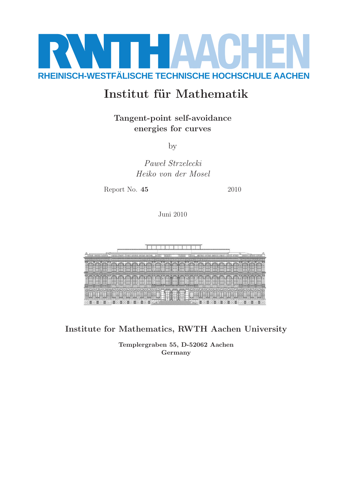

# Institut für Mathematik

Tangent-point self-avoidance energies for curves

by

Paweł Strzelecki Heiko von der Mosel

Report No. **45** 2010

Juni 2010



Institute for Mathematics, RWTH Aachen University

Templergraben 55, D-52062 Aachen Germany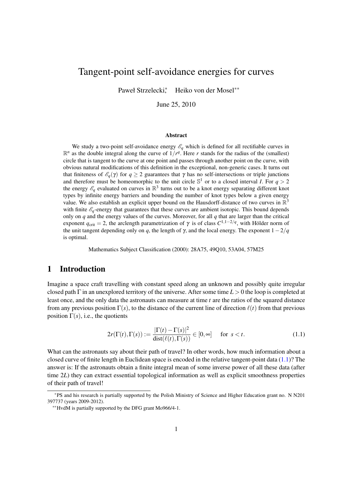# Tangent-point self-avoidance energies for curves

Paweł Strzelecki<sup>∗</sup> , Heiko von der Mosel∗∗

June 25, 2010

#### Abstract

We study a two-point self-avoidance energy  $\mathscr{E}_q$  which is defined for all rectifiable curves in  $\mathbb{R}^n$  as the double integral along the curve of  $1/r^q$ . Here *r* stands for the radius of the (smallest) circle that is tangent to the curve at one point and passes through another point on the curve, with obvious natural modifications of this definition in the exceptional, non-generic cases. It turns out that finiteness of  $\mathcal{E}_q(\gamma)$  for  $q \geq 2$  guarantees that  $\gamma$  has no self-intersections or triple junctions and therefore must be homeomorphic to the unit circle  $\mathbb{S}^1$  or to a closed interval *I*. For  $q > 2$ the energy  $\mathscr{E}_q$  evaluated on curves in  $\mathbb{R}^3$  turns out to be a knot energy separating different knot types by infinite energy barriers and bounding the number of knot types below a given energy value. We also establish an explicit upper bound on the Hausdorff-distance of two curves in  $\mathbb{R}^3$ with finite  $\mathscr{E}_q$ -energy that guarantees that these curves are ambient isotopic. This bound depends only on *q* and the energy values of the curves. Moreover, for all *q* that are larger than the critical exponent  $q_{\text{crit}} = 2$ , the arclength parametrization of  $\gamma$  is of class  $C^{1,1-2/q}$ , with Hölder norm of the unit tangent depending only on *q*, the length of  $\gamma$ , and the local energy. The exponent  $1-2/q$ is optimal.

Mathematics Subject Classification (2000): 28A75, 49Q10, 53A04, 57M25

## 1 Introduction

Imagine a space craft travelling with constant speed along an unknown and possibly quite irregular closed path Γ in an unexplored territory of the universe. After some time *L* > 0 the loop is completed at least once, and the only data the astronauts can measure at time *t* are the ratios of the squared distance from any previous position  $\Gamma(s)$ , to the distance of the current line of direction  $\ell(t)$  from that previous position  $\Gamma(s)$ , i.e., the quotients

<span id="page-1-0"></span>
$$
2r(\Gamma(t), \Gamma(s)) := \frac{|\Gamma(t) - \Gamma(s)|^2}{\text{dist}(\ell(t), \Gamma(s))} \in [0, \infty] \quad \text{for } s < t.
$$
 (1.1)

What can the astronauts say about their path of travel? In other words, how much information about a closed curve of finite length in Euclidean space is encoded in the relative tangent-point data [\(1.1\)](#page-1-0)? The answer is: If the astronauts obtain a finite integral mean of some inverse power of all these data (after time 2*L*) they can extract essential topological information as well as explicit smoothness properties of their path of travel!

<sup>∗</sup>PS and his research is partially supported by the Polish Ministry of Science and Higher Education grant no. N N201 397737 (years 2009-2012).

<sup>∗∗</sup>HvdM is partially supported by the DFG grant Mo966/4-1.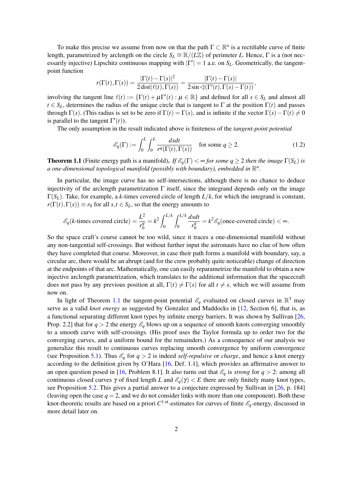<span id="page-2-1"></span>To make this precise we assume from now on that the path  $\Gamma \subset \mathbb{R}^n$  is a rectifiable curve of finite length, parametrized by arclength on the circle  $S_L \cong \mathbb{R}/(L\mathbb{Z})$  of perimeter *L*. Hence,  $\Gamma$  is a (not necessarily injective) Lipschitz continuous mapping with  $|\Gamma'| = 1$  a.e. on  $S_L$ . Geometrically, the tangentpoint function

$$
r(\Gamma(t),\Gamma(s)) = \frac{|\Gamma(t) - \Gamma(s)|^2}{2 \operatorname{dist}(\ell(t),\Gamma(s))} = \frac{|\Gamma(t) - \Gamma(s)|}{2 \sin \varphi(\Gamma'(t),\Gamma(s) - \Gamma(t))},
$$

involving the tangent line  $\ell(t) := \{\Gamma(t) + \mu \Gamma'(t) : \mu \in \mathbb{R}\}\$  and defined for all  $s \in S_L$  and almost all  $t \in S_L$ , determines the radius of the unique circle that is tangent to  $\Gamma$  at the position  $\Gamma(t)$  and passes through  $\Gamma(s)$ . (This radius is set to be zero if  $\Gamma(t) = \Gamma(s)$ , and is infinite if the vector  $\Gamma(s) - \Gamma(t) \neq 0$ is parallel to the tangent  $\Gamma'(t)$ ).

The only assumption in the result indicated above is finiteness of the *tangent-point potential*

$$
\mathcal{E}_q(\Gamma) := \int_0^L \int_0^L \frac{dsdt}{r^q(\Gamma(t), \Gamma(s))} \quad \text{for some } q \ge 2.
$$
 (1.2)

<span id="page-2-0"></span>**Theorem 1.1** (Finite energy path is a manifold). *If*  $\mathcal{E}_q(\Gamma) < \infty$  *for some q*  $\geq 2$  *then the image*  $\Gamma(S_L)$  *is* a one-dimensional topological manifold (possibly with boundary), embedded in  $\mathbb{R}^n$ .

In particular, the image curve has no self-intersections, although there is no chance to deduce injectivity of the arclength parametrization  $\Gamma$  itself, since the integrand depends only on the image  $\Gamma(S_L)$ . Take, for example, a *k*-times covered circle of length  $L/k$ , for which the integrand is constant,  $r(\Gamma(t), \Gamma(s)) \equiv r_0$  for all  $s, t \in S_L$ , so that the energy amounts to

$$
\mathcal{E}_q(k\text{-times covered circle}) = \frac{L^2}{r_0^q} = k^2 \int_0^{L/k} \int_0^{L/k} \frac{dsdt}{r_0^q} = k^2 \mathcal{E}_q(\text{once-covered circle}) < \infty.
$$

So the space craft's course cannot be too wild, since it traces a one-dimensional manifold without any non-tangential self-crossings. But without further input the astronauts have no clue of how often they have completed that course. Moreover, in case their path forms a manifold with boundary, say, a circular arc, there would be an abrupt (and for the crew probably quite noticeable) change of direction at the endpoints of that arc. Mathematically, one can easily reparametrize the manifold to obtain a new injective arclength parametrization, which translates to the additional information that the spacecraft does not pass by any previous position at all,  $\Gamma(t) \neq \Gamma(s)$  for all  $t \neq s$ , which we will assume from now on.

In light of Theorem [1.1](#page-2-0) the tangent-point potential  $\mathscr{E}_q$  evaluated on closed curves in  $\mathbb{R}^3$  may serve as a valid *knot energy* as suggested by Gonzalez and Maddocks in [\[12,](#page-23-0) Section 6], that is, as a functional separating different knot types by infinite energy barriers. It was shown by Sullivan [\[26,](#page-23-1) Prop. 2.2] that for  $q > 2$  the energy  $\mathscr{E}_q$  blows up on a sequence of smooth knots converging smoothly to a smooth curve with self-crossings. (His proof uses the Taylor formula up to order two for the converging curves, and a uniform bound for the remainders.) As a consequence of our analysis we generalize this result to continuous curves replacing smooth convergence by uniform convergence (see Proposition [5.1\)](#page-12-0). Thus  $\mathscr{E}_q$  for  $q > 2$  is indeed *self-repulsive* or *charge*, and hence a knot energy according to the definition given by O'Hara [\[16,](#page-23-2) Def. 1.1], which provides an affirmative answer to an open question posed in [\[16,](#page-23-2) Problem 8.1]. It also turns out that  $\mathscr{E}_q$  is *strong* for  $q > 2$ : among all continuous closed curves  $\gamma$  of fixed length *L* and  $\mathcal{E}_q(\gamma) < E$  there are only finitely many knot types, see Proposition [5.2.](#page-13-0) This gives a partial answer to a conjecture expressed by Sullivan in [\[26,](#page-23-1) p. 184] (leaving open the case  $q = 2$ , and we do not consider links with more than one component). Both these knot-theoretic results are based on a priori  $C^{1,\alpha}$ -estimates for curves of finite  $\mathscr{E}_q$ -energy, discussed in more detail later on.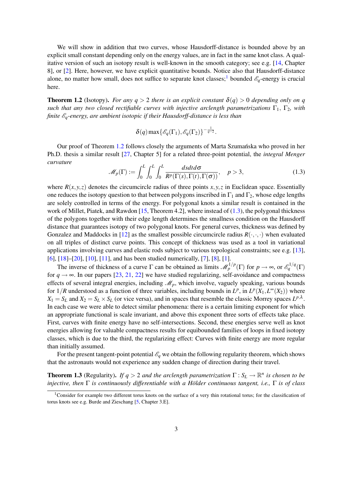<span id="page-3-4"></span>We will show in addition that two curves, whose Hausdorff-distance is bounded above by an explicit small constant depending only on the energy values, are in fact in the same knot class. A qualitative version of such an isotopy result is well-known in the smooth category; see e.g. [\[14,](#page-23-3) Chapter 8], or [\[2\]](#page-22-0). Here, however, we have explicit quantitative bounds. Notice also that Hausdorff-distance alone, no matter how small, does not suffice to separate knot classes;<sup>[1](#page-3-0)</sup> bounded  $\mathscr{E}_q$ -energy is crucial here.

<span id="page-3-1"></span>**Theorem 1.2** (Isotopy). *For any q > 2 there is an explicit constant*  $\delta(q)$  > 0 *depending only on q such that any two closed rectifiable curves with injective arclength parametrizations* Γ1, Γ2*, with finite* E*q-energy, are ambient isotopic if their Hausdorff-distance is less than*

$$
\delta(q) \max \{ \mathscr{E}_q(\Gamma_1), \mathscr{E}_q(\Gamma_2) \}^{-\frac{1}{q-2}}.
$$

Our proof of Theorem [1.2](#page-3-1) follows closely the arguments of Marta Szumańska who proved in her Ph.D. thesis a similar result [\[27,](#page-23-4) Chapter 5] for a related three-point potential, the *integral Menger curvature*

<span id="page-3-2"></span>
$$
\mathcal{M}_p(\Gamma) := \int_0^L \int_0^L \int_0^L \frac{ds dt d\sigma}{R^p(\Gamma(s), \Gamma(t), \Gamma(\sigma))}, \quad p > 3,
$$
\n(1.3)

where  $R(x, y, z)$  denotes the circumcircle radius of three points  $x, y, z$  in Euclidean space. Essentially one reduces the isotopy question to that between polygons inscribed in  $\Gamma_1$  and  $\Gamma_2$ , whose edge lengths are solely controlled in terms of the energy. For polygonal knots a similar result is contained in the work of Millet, Piatek, and Rawdon  $[15,$  Theorem 4.2], where instead of  $(1.3)$ , the polygonal thickness of the polygons together with their edge length determines the smallness condition on the Hausdorff distance that guarantees isotopy of two polygonal knots. For general curves, thickness was defined by Gonzalez and Maddocks in [\[12\]](#page-23-0) as the smallest possible circumcircle radius  $R(\cdot, \cdot, \cdot)$  when evaluated on all triples of distinct curve points. This concept of thickness was used as a tool in variational applications involving curves and elastic rods subject to various topological constraints; see e.g. [\[13\]](#page-23-6), [\[6\]](#page-22-1), [\[18\]](#page-23-7)–[\[20\]](#page-23-8), [\[10\]](#page-22-2), [\[11\]](#page-23-9), and has been studied numerically, [\[7\]](#page-22-3), [\[8\]](#page-22-4), [\[1\]](#page-22-5).

The inverse of thickness of a curve  $\Gamma$  can be obtained as limits  $\mathcal{M}_p^{1/p}(\Gamma)$  for  $p \to \infty$ , or  $\mathcal{E}_q^{1/q}(\Gamma)$ for  $q \rightarrow \infty$ . In our papers [\[23,](#page-23-10) [21,](#page-23-11) [22\]](#page-23-12) we have studied regularizing, self-avoidance and compactness effects of several integral energies, including  $\mathcal{M}_p$ , which involve, vaguely speaking, various bounds for  $1/R$  understood as a function of three variables, including bounds in  $L^p$ , in  $L^p(X_1, L^{\infty}(X_2))$  where  $X_1 = S_L$  and  $X_2 = S_L \times S_L$  (or vice versa), and in spaces that resemble the classic Morrey spaces  $L^{p,\lambda}$ . In each case we were able to detect similar phenomena: there is a certain limiting exponent for which an appropriate functional is scale invariant, and above this exponent three sorts of effects take place. First, curves with finite energy have no self-intersections. Second, these energies serve well as knot energies allowing for valuable compactness results for equibounded families of loops in fixed isotopy classes, which is due to the third, the regularizing effect: Curves with finite energy are more regular than initially assumed.

For the present tangent-point potential  $\mathcal{E}_q$  we obtain the following regularity theorem, which shows that the astronauts would not experience any sudden change of direction during their travel.

<span id="page-3-3"></span>**Theorem 1.3** (Regularity). *If q > 2 and the arclength parametrization*  $\Gamma: S_L \to \mathbb{R}^n$  *is chosen to be injective, then* Γ *is continuously differentiable with a Holder continuous tangent, i.e., ¨* Γ *is of class*

<span id="page-3-0"></span><sup>&</sup>lt;sup>1</sup>Consider for example two different torus knots on the surface of a very thin rotational torus; for the classification of torus knots see e.g. Burde and Zieschang [\[5,](#page-22-6) Chapter 3.E].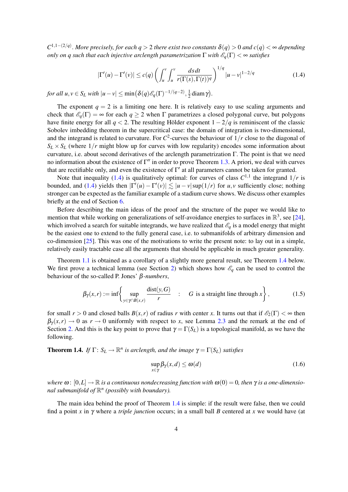<span id="page-4-3"></span>*C* 1,1−(2/*q*) . *More precisely, for each q* > 2 *there exist two constants* δ(*q*) > 0 *and c*(*q*) < ∞ *depending only on q such that each injective arclength parametrization*  $\Gamma$  *with*  $\mathscr{E}_q(\Gamma) < \infty$  *satisfies* 

<span id="page-4-0"></span>
$$
|\Gamma'(u) - \Gamma'(v)| \le c(q) \left( \int_u^v \int_u^v \frac{ds \, dt}{r(\Gamma(s), \Gamma(t))^{q}} \right)^{1/q} |u - v|^{1 - 2/q} \tag{1.4}
$$

*for all u*,  $v \in S_L$  *with*  $|u - v| \le \min\left(\delta(q)\mathscr{E}_q(\Gamma)^{-1/(q-2)}, \frac{1}{2}\right)$  $\frac{1}{2}$  diam  $\gamma$ ).

The exponent  $q = 2$  is a limiting one here. It is relatively easy to use scaling arguments and check that  $\mathscr{E}_q(\Gamma) = \infty$  for each  $q \geq 2$  when  $\Gamma$  parametrizes a closed polygonal curve, but polygons have finite energy for all  $q < 2$ . The resulting Hölder exponent  $1 - 2/q$  is reminiscent of the classic Sobolev imbedding theorem in the supercritical case: the domain of integration is two-dimensional, and the integrand is related to curvature. For  $C^2$ -curves the behaviour of  $1/r$  close to the diagonal of  $S_L \times S_L$  (where  $1/r$  might blow up for curves with low regularity) encodes some information about curvature, i.e. about second derivatives of the arclength parametrization Γ. The point is that we need no information about the existence of  $\Gamma''$  in order to prove Theorem [1.3.](#page-3-3) A priori, we deal with curves that are rectifiable only, and even the existence of  $\Gamma'$  at all parameters cannot be taken for granted.

Note that inequality [\(1.4\)](#page-4-0) is qualitatively optimal: for curves of class  $C^{1,1}$  the integrand  $1/r$  is bounded, and [\(1.4\)](#page-4-0) yields then  $|\Gamma'(u) - \Gamma'(v)| \lesssim |u - v| \sup(1/r)$  for *u*, *v* sufficiently close; nothing stronger can be expected as the familiar example of a stadium curve shows. We discuss other examples briefly at the end of Section [6.](#page-19-0)

Before describing the main ideas of the proof and the structure of the paper we would like to mention that while working on generalizations of self-avoidance energies to surfaces in  $\mathbb{R}^3$ , see [\[24\]](#page-23-13), which involved a search for suitable integrands, we have realized that  $\mathscr{E}_q$  is a model energy that might be the easiest one to extend to the fully general case, i.e. to submanifolds of arbitrary dimension and co-dimension [\[25\]](#page-23-14). This was one of the motivations to write the present note: to lay out in a simple, relatively easily tractable case all the arguments that should be applicable in much greater generality.

Theorem [1.1](#page-2-0) is obtained as a corollary of a slightly more general result, see Theorem [1.4](#page-4-1) below. We first prove a technical lemma (see Section [2\)](#page-6-0) which shows how  $\mathscr{E}_q$  can be used to control the behaviour of the so-called P. Jones' β*-numbers*,

$$
\beta_{\gamma}(x,r) := \inf \left\{ \sup_{y \in \gamma \cap B(x,r)} \frac{\text{dist}(y,G)}{r} \quad : \quad G \text{ is a straight line through } x \right\},\tag{1.5}
$$

for small  $r > 0$  and closed balls  $B(x, r)$  of radius *r* with center *x*. It turns out that if  $\mathcal{E}_2(\Gamma) < \infty$  then  $\beta_{\gamma}(x,r) \rightarrow 0$  as  $r \rightarrow 0$  uniformly with respect to *x*, see Lemma [2.3](#page-7-0) and the remark at the end of Section [2.](#page-6-0) And this is the key point to prove that  $\gamma = \Gamma(S_L)$  is a topological manifold, as we have the following.

<span id="page-4-1"></span>**Theorem 1.4.** *If*  $\Gamma: S_L \to \mathbb{R}^n$  *is arclength, and the image*  $\gamma = \Gamma(S_L)$  *satisfies* 

<span id="page-4-2"></span>
$$
\sup_{x \in \gamma} \beta_{\gamma}(x, d) \le \omega(d) \tag{1.6}
$$

*where*  $\omega$ :  $[0,L] \to \mathbb{R}$  *is a continuous nondecreasing function with*  $\omega(0) = 0$ *, then*  $\gamma$  *is a one-dimensional submanifold of*  $\mathbb{R}^n$  (possibly with boundary).

The main idea behind the proof of Theorem [1.4](#page-4-1) is simple: if the result were false, then we could find a point *x* in γ where a *triple junction* occurs; in a small ball *B* centered at *x* we would have (at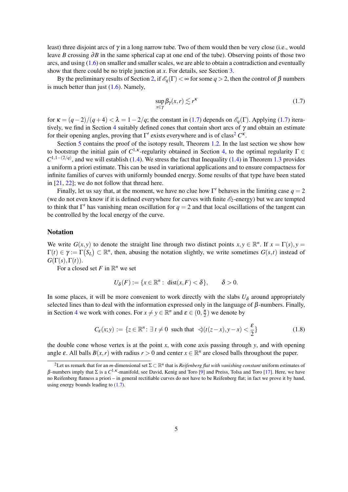<span id="page-5-2"></span>least) three disjoint arcs of  $\gamma$  in a long narrow tube. Two of them would then be very close (i.e., would leave *B* crossing ∂*B* in the same spherical cap at one end of the tube). Observing points of those two arcs, and using  $(1.6)$  on smaller and smaller scales, we are able to obtain a contradiction and eventually show that there could be no triple junction at *x*. For details, see Section [3.](#page-8-0)

By the preliminary results of Section [2,](#page-6-0) if  $\mathscr{E}_q(\Gamma) < \infty$  for some  $q > 2$ , then the control of  $\beta$  numbers is much better than just  $(1.6)$ . Namely,

<span id="page-5-0"></span>
$$
\sup_{x \in \gamma} \beta_{\gamma}(x, r) \lesssim r^{\kappa} \tag{1.7}
$$

for  $\kappa = (q-2)/(q+4) < \lambda = 1-2/q$ ; the constant in [\(1.7\)](#page-5-0) depends on  $\mathscr{E}_q(\Gamma)$ . Applying (1.7) itera-tively, we find in Section [4](#page-10-0) suitably defined cones that contain short arcs of  $\gamma$  and obtain an estimate for their opening angles, proving that  $\Gamma'$  exists everywhere and is of class<sup>[2](#page-5-1)</sup>  $C^{\kappa}$ .

Section [5](#page-12-1) contains the proof of the isotopy result, Theorem [1.2.](#page-3-1) In the last section we show how to bootstrap the initial gain of  $C^{1,\kappa}$ -regularity obtained in Section [4,](#page-10-0) to the optimal regularity  $\Gamma \in$  $C^{1,1-(2/q)}$ , and we will establish [\(1.4\)](#page-4-0). We stress the fact that Inequality (1.4) in Theorem [1.3](#page-3-3) provides a uniform a priori estimate. This can be used in variational applications and to ensure compactness for infinite families of curves with uniformly bounded energy. Some results of that type have been stated in  $[21, 22]$  $[21, 22]$  $[21, 22]$ ; we do not follow that thread here.

Finally, let us say that, at the moment, we have no clue how  $\Gamma'$  behaves in the limiting case  $q = 2$ (we do not even know if it is defined everywhere for curves with finite  $\mathscr{E}_2$ -energy) but we are tempted to think that  $\Gamma'$  has vanishing mean oscillation for  $q = 2$  and that local oscillations of the tangent can be controlled by the local energy of the curve.

#### Notation

We write  $G(x, y)$  to denote the straight line through two distinct points  $x, y \in \mathbb{R}^n$ . If  $x = \Gamma(s), y =$  $\Gamma(t) \in \gamma := \Gamma(S_L) \subset \mathbb{R}^n$ , then, abusing the notation slightly, we write sometimes  $G(s,t)$  instead of  $G(\Gamma(s),\Gamma(t)).$ 

For a closed set *F* in  $\mathbb{R}^n$  we set

$$
U_{\delta}(F) := \{x \in \mathbb{R}^n : \text{ dist}(x, F) < \delta\}, \quad \delta > 0.
$$

In some places, it will be more convenient to work directly with the slabs  $U_{\delta}$  around appropriately selected lines than to deal with the information expressed only in the language of  $\beta$ -numbers. Finally, in Section [4](#page-10-0) we work with cones. For  $x \neq y \in \mathbb{R}^n$  and  $\varepsilon \in (0, \frac{\pi}{2})$  we denote by

$$
C_{\varepsilon}(x; y) := \{ z \in \mathbb{R}^n : \exists t \neq 0 \text{ such that } \triangleleft(t(z - x), y - x) < \frac{\varepsilon}{2} \} \tag{1.8}
$$

the double cone whose vertex is at the point *x*, with cone axis passing through *y*, and with opening angle  $\varepsilon$ . All balls  $B(x, r)$  with radius  $r > 0$  and center  $x \in \mathbb{R}^n$  are closed balls throughout the paper.

<span id="page-5-1"></span> $^2$ Let us remark that for an *m*-dimensional set  $\Sigma\subset\mathbb{R}^n$  that is *Reifenberg flat with vanishing constant* uniform estimates of  $β$ -numbers imply that Σ is a  $C^{1,\kappa}$ -manifold, see David, Kenig and Toro [\[9\]](#page-22-7) and Preiss, Tolsa and Toro [\[17\]](#page-23-15). Here, we have no Reifenberg flatness a priori – in general rectifiable curves do not have to be Reifenberg flat; in fact we prove it by hand, using energy bounds leading to [\(1.7\)](#page-5-0).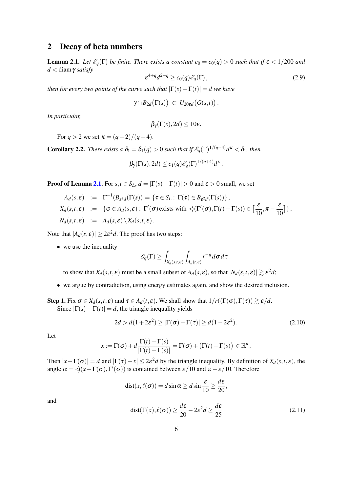## <span id="page-6-0"></span>2 Decay of beta numbers

<span id="page-6-1"></span>**Lemma 2.1.** *Let*  $\mathcal{E}_q(\Gamma)$  *be finite. There exists a constant*  $c_0 = c_0(q) > 0$  *such that if*  $\epsilon < 1/200$  *and d* < diamγ *satisfy*

<span id="page-6-4"></span>
$$
\varepsilon^{4+q} d^{2-q} \ge c_0(q) \mathscr{E}_q(\Gamma), \tag{2.9}
$$

*then for every two points of the curve such that*  $|\Gamma(s) - \Gamma(t)| = d$  we have

$$
\gamma\cap B_{2d}\big(\Gamma(s)\big) \ \subset \ U_{20\epsilon d}\big(G(s,t)\big)\,.
$$

*In particular,*

$$
\beta_{\gamma}(\Gamma(s), 2d) \leq 10\varepsilon.
$$

For  $q > 2$  we set  $\kappa = (q-2)/(q+4)$ .

**Corollary 2.2.** *There exists a*  $\delta_1 = \delta_1(q) > 0$  *such that if*  $\mathscr{E}_q(\Gamma)^{1/(q+4)}d^{\kappa} < \delta_1$ *, then* 

$$
\beta_{\gamma}(\Gamma(s), 2d) \leq c_1(q) \mathscr{E}_q(\Gamma)^{1/(q+4)} d^{\kappa}.
$$

**Proof of Lemma [2.1.](#page-6-1)** For  $s, t \in S_L$ ,  $d = |\Gamma(s) - \Gamma(t)| > 0$  and  $\varepsilon > 0$  small, we set

$$
A_d(s,\varepsilon) := \Gamma^{-1}(B_{\varepsilon^2 d}(\Gamma(s)) = \{ \tau \in S_L : \Gamma(\tau) \in B_{\varepsilon^2 d}(\Gamma(s)) \},
$$
  
\n
$$
X_d(s,t,\varepsilon) := \{ \sigma \in A_d(s,\varepsilon) : \Gamma'(\sigma) \text{ exists with } \Im(\Gamma'(\sigma),\Gamma(t)-\Gamma(s)) \in [\frac{\varepsilon}{10}, \pi - \frac{\varepsilon}{10}] \},
$$
  
\n
$$
N_d(s,t,\varepsilon) := A_d(s,\varepsilon) \setminus X_d(s,t,\varepsilon).
$$

Note that  $|A_d(s, \varepsilon)| \geq 2\varepsilon^2 d$ . The proof has two steps:

• we use the inequality

$$
\mathscr{E}_q(\Gamma) \ge \int_{X_d(s,t,\varepsilon)} \int_{A_d(t,\varepsilon)} r^{-q} d\sigma d\tau
$$

to show that  $X_d(s,t,\varepsilon)$  must be a small subset of  $A_d(s,\varepsilon)$ , so that  $|N_d(s,t,\varepsilon)| \gtrsim \varepsilon^2 d$ ;

• we argue by contradiction, using energy estimates again, and show the desired inclusion.

Step 1. Fix  $\sigma \in X_d(s,t,\varepsilon)$  and  $\tau \in A_d(t,\varepsilon)$ . We shall show that  $1/r((\Gamma(\sigma),\Gamma(\tau)) \gtrsim \varepsilon/d$ . Since  $|\Gamma(s) - \Gamma(t)| = d$ , the triangle inequality yields

<span id="page-6-2"></span>
$$
2d > d(1+2\varepsilon^2) \ge |\Gamma(\sigma) - \Gamma(\tau)| \ge d(1-2\varepsilon^2). \tag{2.10}
$$

Let

$$
x := \Gamma(\sigma) + d \frac{\Gamma(t) - \Gamma(s)}{|\Gamma(t) - \Gamma(s)|} = \Gamma(\sigma) + (\Gamma(t) - \Gamma(s)) \in \mathbb{R}^n.
$$

Then  $|x-\Gamma(\sigma)| = d$  and  $|\Gamma(\tau)-x| \leq 2\varepsilon^2 d$  by the triangle inequality. By definition of  $X_d(s,t,\varepsilon)$ , the angle  $\alpha = \langle (x - \Gamma(\sigma), \Gamma'(\sigma)) \rangle$  is contained between  $\varepsilon/10$  and  $\pi - \varepsilon/10$ . Therefore

$$
dist(x,\ell(\sigma)) = d \sin \alpha \ge d \sin \frac{\varepsilon}{10} \ge \frac{d\varepsilon}{20},
$$

and

<span id="page-6-3"></span>
$$
dist(\Gamma(\tau), \ell(\sigma)) \ge \frac{d\varepsilon}{20} - 2\varepsilon^2 d \ge \frac{d\varepsilon}{25}
$$
 (2.11)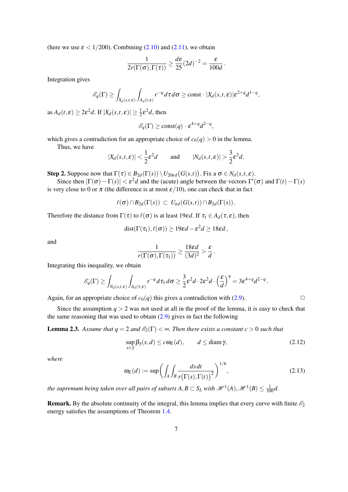(here we use  $\epsilon < 1/200$ ). Combining [\(2.10\)](#page-6-2) and [\(2.11\)](#page-6-3), we obtain

$$
\frac{1}{2r(\Gamma(\sigma), \Gamma(\tau))} \ge \frac{d\epsilon}{25} (2d)^{-2} = \frac{\epsilon}{100d}.
$$

Integration gives

$$
\mathscr{E}_q(\Gamma) \ge \int_{X_d(s,t,\varepsilon)} \int_{A_d(t,\varepsilon)} r^{-q} d\tau d\sigma \ge \text{const} \cdot |X_d(s,t,\varepsilon)| \varepsilon^{2+q} d^{1-q},
$$

as  $A_d(t,\varepsilon) \ge 2\varepsilon^2 d$ . If  $|X_d(s,t,\varepsilon)| \ge \frac{1}{2}\varepsilon^2 d$ , then

$$
\mathcal{E}_q(\Gamma) \ge \text{const}(q) \cdot \varepsilon^{4+q} d^{2-q},
$$

which gives a contradiction for an appropriate choice of  $c_0(q) > 0$  in the lemma.

Thus, we have

$$
|X_d(s,t,\varepsilon)| < \frac{1}{2}\varepsilon^2 d \qquad \text{and} \qquad |N_d(s,t,\varepsilon)| > \frac{3}{2}\varepsilon^2 d.
$$

Step 2. Suppose now that  $\Gamma(\tau) \in B_{2d}(\Gamma(s)) \setminus U_{20\epsilon d}(G(s,t))$ . Fix a  $\sigma \in N_d(s,t,\epsilon)$ .

Since then  $|\Gamma(\sigma) - \Gamma(s)| < \varepsilon^2 d$  and the (acute) angle between the vectors  $\Gamma'(\sigma)$  and  $\Gamma(t) - \Gamma(s)$ is very close to 0 or  $\pi$  (the difference is at most  $\varepsilon/10$ ), one can check that in fact

$$
\ell(\sigma) \cap B_{2d}(\Gamma(s)) \subset U_{\varepsilon d}(G(s,t)) \cap B_{2d}(\Gamma(s)).
$$

Therefore the distance from  $\Gamma(\tau)$  to  $\ell(\sigma)$  is at least 19*εd*. If  $\tau_1 \in A_d(\tau, \varepsilon)$ , then

$$
dist(\Gamma(\tau_1), \ell(\sigma)) \ge 19\epsilon d - \epsilon^2 d \ge 18\epsilon d,
$$

and

$$
\frac{1}{r(\Gamma(\sigma), \Gamma(\tau_1))} \ge \frac{18\epsilon d}{(3d)^2} > \frac{\epsilon}{d}
$$

Integrating this inequality, we obtain

$$
\mathscr{E}_q(\Gamma) \geq \int_{N_d(s,t,\varepsilon)} \int_{A_d(\tau,\varepsilon)} r^{-q} d\tau_1 d\sigma \geq \frac{3}{2} \varepsilon^2 d \cdot 2\varepsilon^2 d \cdot \left(\frac{\varepsilon}{d}\right)^q = 3\varepsilon^{4+q} d^{2-q}.
$$

Again, for an appropriate choice of  $c_0(q)$  this gives a contradiction with [\(2.9\)](#page-6-4).

Since the assumption  $q > 2$  was not used at all in the proof of the lemma, it is easy to check that the same reasoning that was used to obtain  $(2.9)$  gives in fact the following

<span id="page-7-0"></span>**Lemma 2.3.** Assume that  $q = 2$  and  $\mathcal{E}_2(\Gamma) < \infty$ . Then there exists a constant  $c > 0$  such that

$$
\sup_{x \in \gamma} \beta_{\gamma}(x, d) \le c \omega_E(d), \qquad d \le \text{diam}\,\gamma,\tag{2.12}
$$

.

*where*

$$
\omega_E(d) := \sup \left( \int_A \int_B \frac{ds \, dt}{r \big( \Gamma(s), \Gamma(t) \big)^2} \right)^{1/6},\tag{2.13}
$$

*the supremum being taken over all pairs of subsets*  $A, B \subset S_L$  *with*  $\mathscr{H}^1(A), \mathscr{H}^1(B) \leq \frac{1}{100}d$ *.* 

**Remark.** By the absolute continuity of the integral, this lemma implies that every curve with finite  $\mathscr{E}_2$ energy satisfies the assumptions of Theorem [1.4.](#page-4-1)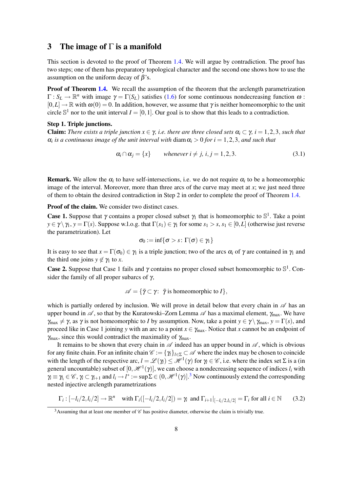#### <span id="page-8-0"></span>3 The image of  $\Gamma$  is a manifold

This section is devoted to the proof of Theorem [1.4.](#page-4-1) We will argue by contradiction. The proof has two steps; one of them has preparatory topological character and the second one shows how to use the assumption on the uniform decay of  $\beta$ 's.

Proof of Theorem [1.4.](#page-4-1) We recall the assumption of the theorem that the arclength parametrization  $\Gamma: S_L \to \mathbb{R}^n$  with image  $\gamma = \Gamma(S_L)$  satisfies [\(1.6\)](#page-4-2) for some continuous nondecreasing function  $\omega$ :  $[0,L] \to \mathbb{R}$  with  $\omega(0) = 0$ . In addition, however, we assume that  $\gamma$  is neither homeomorphic to the unit circle  $\mathbb{S}^1$  nor to the unit interval  $I = [0,1]$ . Our goal is to show that this leads to a contradiction.

#### Step 1. Triple junctions.

**Claim:** *There exists a triple junction*  $x \in \gamma$ *, i.e. there are three closed sets*  $\alpha_i \subset \gamma$ *, i* = 1,2,3*, such that*  $\alpha_i$  *is a continuous image of the unit interval with* diam  $\alpha_i > 0$  *for i* = 1,2,3, *and such that* 

<span id="page-8-3"></span>
$$
\alpha_i \cap \alpha_j = \{x\} \qquad \text{whenever } i \neq j, \ i, j = 1, 2, 3. \tag{3.1}
$$

**Remark.** We allow the  $\alpha_i$  to have self-intersections, i.e. we do not require  $\alpha_i$  to be a homeomorphic image of the interval. Moreover, more than three arcs of the curve may meet at *x*; we just need three of them to obtain the desired contradiction in Step 2 in order to complete the proof of Theorem [1.4.](#page-4-1)

Proof of the claim. We consider two distinct cases.

**Case 1.** Suppose that  $\gamma$  contains a proper closed subset  $\gamma_1$  that is homeomorphic to  $\mathbb{S}^1$ . Take a point  $y \in \gamma \setminus \gamma_1$ ,  $y = \Gamma(s)$ . Suppose w.l.o.g. that  $\Gamma(s_1) \in \gamma_1$  for some  $s_1 > s$ ,  $s_1 \in [0, L]$  (otherwise just reverse the parametrization). Let

$$
\sigma_0 := \inf\{\sigma > s \colon \Gamma(\sigma) \in \gamma_1\}
$$

It is easy to see that  $x = \Gamma(\sigma_0) \in \gamma_1$  is a triple junction; two of the arcs  $\alpha_i$  of  $\gamma$  are contained in  $\gamma_1$  and the third one joins  $y \notin \gamma_1$  to *x*.

**Case 2.** Suppose that Case 1 fails and  $\gamma$  contains no proper closed subset homeomorphic to  $\mathbb{S}^1$ . Consider the family of all proper subarcs of  $\gamma$ ,

$$
\mathscr{A} = \{ \tilde{\gamma} \subset \gamma \colon \tilde{\gamma} \text{ is homeomorphic to } I \},
$$

which is partially ordered by inclusion. We will prove in detail below that every chain in  $\mathscr A$  has an upper bound in  $\mathscr A$ , so that by the Kuratowski–Zorn Lemma  $\mathscr A$  has a maximal element,  $\gamma_{\text{max}}$ . We have  $\gamma_{\text{max}} \neq \gamma$ , as  $\gamma$  is not homeomorphic to *I* by assumption. Now, take a point  $y \in \gamma \setminus \gamma_{\text{max}}$ ,  $y = \Gamma(s)$ , and proceed like in Case 1 joining *y* with an arc to a point  $x \in \gamma_{\text{max}}$ . Notice that *x* cannot be an endpoint of  $\gamma_{\text{max}}$ , since this would contradict the maximality of  $\gamma_{\text{max}}$ .

It remains to be shown that every chain in  $\mathscr A$  indeed has an upper bound in  $\mathscr A$ , which is obvious for any finite chain. For an infinite chain  $\mathscr{C} := \{ \gamma_l \}_{l \in \Sigma} \subset \mathscr{A}$  where the index may be chosen to coincide with the length of the respective arc,  $l = \mathcal{L}(\gamma_l) \leq \mathcal{H}^1(\gamma)$  for  $\gamma_l \in \mathcal{C}$ , i.e. where the index set  $\Sigma$  is a (in general uncountable) subset of  $[0, \mathcal{H}^1(\gamma)]$ , we can choose a nondecreasing sequence of indices  $l_i$  with  $\gamma_i \equiv \gamma_i \in \mathscr{C}$ ,  $\gamma_i \subset \gamma_{i+1}$  and  $l_i \to l^* := \sup \Sigma \in (0, \mathscr{H}^1(\gamma)]$ .<sup>[3](#page-8-1)</sup> Now continuously extend the corresponding nested injective arclength parametrizations

<span id="page-8-2"></span>
$$
\Gamma_i: [-l_i/2, l_i/2] \to \mathbb{R}^n \quad \text{with } \Gamma_i([-l_i/2, l_i/2]) = \gamma_i \text{ and } \Gamma_{i+1}|_{[-l_i/2, l_i/2]} = \Gamma_i \text{ for all } i \in \mathbb{N} \tag{3.2}
$$

<span id="page-8-1"></span><sup>&</sup>lt;sup>3</sup> Assuming that at least one member of  $\mathscr C$  has positive diameter, otherwise the claim is trivially true.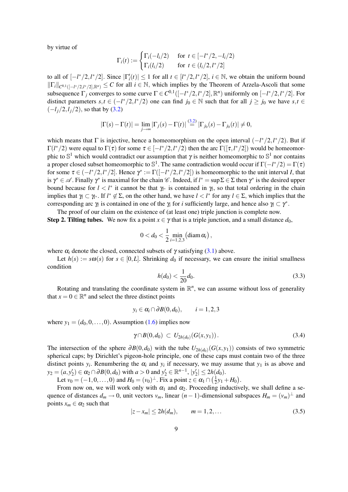by virtue of

$$
\Gamma_i(t) := \begin{cases}\n\Gamma_i(-l_i/2) & \text{for } t \in [-l^*/2, -l_i/2) \\
\Gamma_i(l_i/2) & \text{for } t \in (l_i/2, l^*/2]\n\end{cases}
$$

to all of  $[-l^*/2, l^*/2]$ . Since  $|\Gamma'_i(t)| \le 1$  for all  $t \in [l^*/2, l^*/2]$ ,  $i \in \mathbb{N}$ , we obtain the uniform bound  $\|\Gamma_i\|_{C^{0,1}([-l^*/2,l^*/2],\mathbb{R}^n)} \leq C$  for all  $i \in \mathbb{N}$ , which implies by the Theorem of Arzela-Ascoli that some subsequence  $\Gamma_j$  converges to some curve  $\Gamma \in C^{0,1}([-l^*/2,l^*/2], \mathbb{R}^n)$  uniformly on  $[-l^*/2,l^*/2]$ . For distinct parameters  $s, t \in (-l^*/2, l^*/2)$  one can find  $j_0 \in \mathbb{N}$  such that for all  $j \ge j_0$  we have  $s, t \in$ (−*lj*/2,*lj*/2), so that by [\(3.2\)](#page-8-2)

$$
|\Gamma(s)-\Gamma(t)|=\lim_{j\to\infty}|\Gamma_j(s)-\Gamma(t)|\stackrel{(3.2)}{=}|\Gamma_{j_0}(s)-\Gamma_{j_0}(t)|\neq 0,
$$

which means that  $\Gamma$  is injective, hence a homeomorphism on the open interval  $\left(-\frac{l^{*}}{2}, \frac{l^{*}}{2}\right)$ . But if  $Γ(l*/2)$  were equal to Γ(τ) for some  $τ ∈ [−l*/2, l*/2)$  then the arc Γ([τ,*l<sup>\*</sup>/2*]) would be homeomorphic to  $\mathbb{S}^1$  which would contradict our assumption that  $\gamma$  is neither homeomorphic to  $\mathbb{S}^1$  nor contains a proper closed subset homeomorphic to  $\mathbb{S}^1$ . The same contradiction would occur if  $\Gamma(-l^*/2) = \Gamma(\tau)$ for some  $\tau \in (-l^*/2, l^*/2]$ . Hence  $\gamma^* := \Gamma([-l^*/2, l^*/2])$  is homeomorphic to the unit interval *I*, that is  $\gamma^* \in \mathscr{A}$ . Finally  $\gamma^*$  is maximal for the chain  $\mathscr{C}$ . Indeed, if  $l^* = \sup \Sigma \in \Sigma$  then  $\gamma^*$  is the desired upper bound because for  $l < l^*$  it cannot be that  $\gamma_l$ <sup>\*</sup> is contained in  $\gamma_l$ , so that total ordering in the chain implies that  $\gamma_l \subset \gamma_{l^*}$ . If  $l^* \notin \Sigma$ , on the other hand, we have  $l < l^*$  for any  $l \in \Sigma$ , which implies that the corresponding arc  $\gamma$  is contained in one of the  $\gamma$  for *i* sufficiently large, and hence also  $\gamma$   $\subset \gamma^*$ .

The proof of our claim on the existence of (at least one) triple junction is complete now.

**Step 2. Tilting tubes.** We now fix a point  $x \in \gamma$  that is a triple junction, and a small distance  $d_0$ ,

$$
0 < d_0 < \frac{1}{2} \min_{i=1,2,3} \left(\operatorname{diam} \alpha_i\right),
$$

where  $\alpha_i$  denote the closed, connected subsets of  $\gamma$  satisfying [\(3.1\)](#page-8-3) above.

Let  $h(s) := s\omega(s)$  for  $s \in [0, L]$ . Shrinking  $d_0$  if necessary, we can ensure the initial smallness condition

<span id="page-9-0"></span>
$$
h(d_0) < \frac{1}{20}d_0. \tag{3.3}
$$

Rotating and translating the coordinate system in  $\mathbb{R}^n$ , we can assume without loss of generality that  $x = 0 \in \mathbb{R}^n$  and select the three distinct points

$$
y_i \in \alpha_i \cap \partial B(0, d_0), \qquad i = 1, 2, 3
$$

where  $y_1 = (d_0, 0, \ldots, 0)$ . Assumption [\(1.6\)](#page-4-2) implies now

$$
\gamma \cap B(0, d_0) \, \subset \, U_{2h(d_0)}(G(x, y_1)) \, . \tag{3.4}
$$

The intersection of the sphere  $\partial B(0, d_0)$  with the tube  $U_{2h(d_0)}(G(x, y_1))$  consists of two symmetric spherical caps; by Dirichlet's pigeon-hole principle, one of these caps must contain two of the three distinct points  $y_i$ . Renumbering the  $\alpha_i$  and  $y_i$  if necessary, we may assume that  $y_1$  is as above and *y*<sub>2</sub> = (*a*,*y*<sup>'</sup><sub>2</sub>) ∈  $\alpha$ <sub>2</sub> ∩ ∂*B*(0,*d*<sub>0</sub>) with *a* > 0 and *y*'<sub>2</sub> ∈ ℝ<sup>*n*-1</sup>,  $|y'_2|$  ≤ 2*h*(*d*<sub>0</sub>).

Let  $v_0 = (-1, 0, \ldots, 0)$  and  $H_0 = (v_0)^\perp$ . Fix a point  $z \in \alpha_1 \cap (\frac{1}{2})$  $(\frac{1}{2}y_1 + H_0).$ 

From now on, we will work only with  $\alpha_1$  and  $\alpha_2$ . Proceeding inductively, we shall define a sequence of distances  $d_m \to 0$ , unit vectors  $v_m$ , linear  $(n-1)$ -dimensional subspaces  $H_m = (v_m)^{\perp}$  and points  $x_m \in \alpha_2$  such that

<span id="page-9-1"></span>
$$
|z - x_m| \le 2h(d_m), \qquad m = 1, 2, \dots \tag{3.5}
$$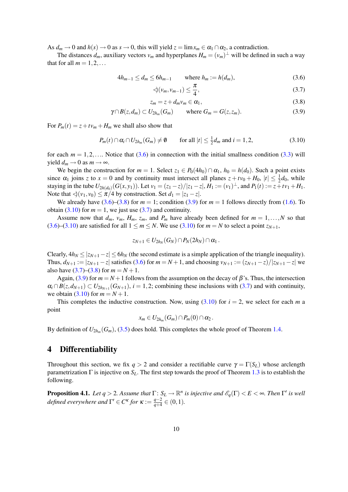As  $d_m \to 0$  and  $h(s) \to 0$  as  $s \to 0$ , this will yield  $z = \lim x_m \in \alpha_1 \cap \alpha_2$ , a contradiction.

The distances  $d_m$ , auxiliary vectors  $v_m$  and hyperplanes  $H_m = (v_m)^{\perp}$  will be defined in such a way that for all  $m = 1, 2, \ldots$ 

$$
4h_{m-1} \le d_m \le 6h_{m-1} \qquad \text{where } h_m := h(d_m), \tag{3.6}
$$

<span id="page-10-5"></span><span id="page-10-3"></span><span id="page-10-2"></span><span id="page-10-1"></span>
$$
\mathcal{A}(v_m, v_{m-1}) \le \frac{\pi}{4},\tag{3.7}
$$

$$
z_m = z + d_m v_m \in \alpha_1,\tag{3.8}
$$

$$
\gamma \cap B(z, d_m) \subset U_{2h_m}(G_m) \qquad \text{where } G_m = G(z, z_m). \tag{3.9}
$$

For  $P_m(t) = z + tv_m + H_m$  we shall also show that

<span id="page-10-4"></span>
$$
P_m(t) \cap \alpha_i \cap U_{2h_m}(G_m) \neq \emptyset \qquad \text{for all } |t| \leq \frac{1}{2}d_m \text{ and } i = 1, 2,
$$
 (3.10)

for each  $m = 1, 2, \ldots$  Notice that [\(3.6\)](#page-10-1) in connection with the initial smallness condition [\(3.3\)](#page-9-0) will yield  $d_m \rightarrow 0$  as  $m \rightarrow \infty$ .

We begin the construction for  $m = 1$ . Select  $z_1 \in P_0(4h_0) \cap \alpha_1$ ,  $h_0 = h(d_0)$ . Such a point exists since  $\alpha_1$  joins *z* to  $x = 0$  and by continuity must intersect all planes  $z + tv_0 + H_0$ ,  $|t| \leq \frac{1}{2}d_0$ , while staying in the tube  $U_{2h(d_0)}(G(x,y_1))$ . Let  $v_1 = (z_1 - z)/|z_1 - z|$ ,  $H_1 := (v_1)^{\perp}$ , and  $P_1(t) := z + tv_1 + H_1$ . Note that  $\langle v_1, v_0 \rangle \le \pi/4$  by construction. Set  $d_1 = |z_1 - z|$ .

We already have  $(3.6)$ – $(3.8)$  for  $m = 1$ ; condition  $(3.9)$  for  $m = 1$  follows directly from  $(1.6)$ . To obtain [\(3.10\)](#page-10-4) for  $m = 1$ , we just use [\(3.7\)](#page-10-5) and continuity.

Assume now that  $d_m$ ,  $v_m$ ,  $H_m$ ,  $z_m$ , and  $P_m$  have already been defined for  $m = 1, \ldots, N$  so that [\(3.6\)](#page-10-1)–[\(3.10\)](#page-10-4) are satisfied for all  $1 \le m \le N$ . We use (3.10) for  $m = N$  to select a point  $z_{N+1}$ ,

$$
z_{N+1}\in U_{2h_N}(G_N)\cap P_N(2h_N)\cap\alpha_1\,.
$$

Clearly,  $4h_N \le |z_{N+1} - z| \le 6h_N$  (the second estimate is a simple application of the triangle inequality). Thus,  $d_{N+1} := |z_{N+1} - z|$  satisfies [\(3.6\)](#page-10-1) for  $m = N+1$ , and choosing  $v_{N+1} := (z_{N+1} - z)/|z_{N+1} - z|$  we also have  $(3.7)$ – $(3.8)$  for  $m = N + 1$ .

Again, [\(3.9\)](#page-10-3) for  $m = N + 1$  follows from the assumption on the decay of  $\beta$ 's. Thus, the intersection  $\alpha_i \cap B(z, d_{N+1}) \subset U_{2h_{N+1}}(G_{N+1}), i = 1, 2$ ; combining these inclusions with [\(3.7\)](#page-10-5) and with continuity, we obtain [\(3.10\)](#page-10-4) for  $m = N + 1$ .

This completes the inductive construction. Now, using  $(3.10)$  for  $i = 2$ , we select for each *m* a point

$$
x_m\in U_{2h_m}(G_m)\cap P_m(0)\cap\alpha_2.
$$

By definition of  $U_{2h_m}(G_m)$ , [\(3.5\)](#page-9-1) does hold. This completes the whole proof of Theorem [1.4.](#page-4-1)

#### <span id="page-10-0"></span>4 Differentiability

Throughout this section, we fix  $q > 2$  and consider a rectifiable curve  $\gamma = \Gamma(S_L)$  whose arclength parametrization  $\Gamma$  is injective on  $S_L$ . The first step towards the proof of Theorem [1.3](#page-3-3) is to establish the following.

<span id="page-10-6"></span>**Proposition 4.1.** Let  $q > 2$ . Assume that  $\Gamma: S_L \to \mathbb{R}^n$  is injective and  $\mathscr{E}_q(\Gamma) < E < \infty$ . Then  $\Gamma'$  is well *defined everywhere and*  $\Gamma' \in C^{\kappa}$  for  $\kappa := \frac{q-2}{q+4}$  $\frac{q-2}{q+4} \in (0,1)$ .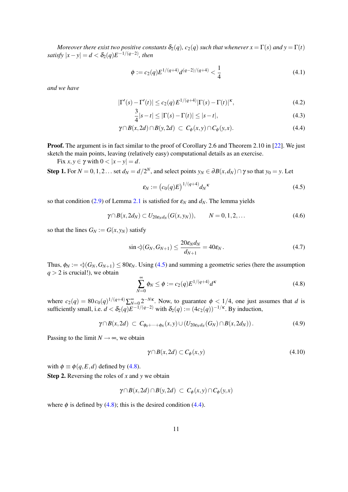<span id="page-11-6"></span>*Moreover there exist two positive constants*  $\delta_2(q)$ *, c*<sub>2</sub>(*q*) *such that whenever*  $x = \Gamma(s)$  *and*  $y = \Gamma(t)$  $satisfy |x-y| = d < \delta_2(q) E^{-1/(q-2)}$ , then

<span id="page-11-3"></span>
$$
\phi := c_2(q) E^{1/(q+4)} d^{(q-2)/(q+4)} < \frac{1}{4}
$$
\n(4.1)

*and we have*

$$
|\Gamma'(s) - \Gamma'(t)| \le c_2(q) E^{1/(q+4)} |\Gamma(s) - \Gamma(t)|^{\kappa}, \tag{4.2}
$$

<span id="page-11-5"></span><span id="page-11-4"></span><span id="page-11-2"></span>
$$
\frac{3}{4}|s-t| \le |\Gamma(s) - \Gamma(t)| \le |s-t|,\tag{4.3}
$$

$$
\gamma \cap B(x, 2d) \cap B(y, 2d) \subset C_{\phi}(x, y) \cap C_{\phi}(y, x). \tag{4.4}
$$

**Proof.** The argument is in fact similar to the proof of Corollary 2.6 and Theorem 2.10 in [\[22\]](#page-23-12). We just sketch the main points, leaving (relatively easy) computational details as an exercise.

Fix  $x, y \in \gamma$  with  $0 < |x - y| = d$ .

Step 1. For  $N = 0, 1, 2...$  set  $d_N = d/2^N$ , and select points  $y_N \in \partial B(x, d_N) \cap \gamma$  so that  $y_0 = y$ . Let

<span id="page-11-0"></span>
$$
\varepsilon_N := \left( c_0(q) E \right)^{1/(q+4)} d_N^{\kappa} \tag{4.5}
$$

so that condition [\(2.9\)](#page-6-4) of Lemma [2.1](#page-6-1) is satisfied for  $\varepsilon_N$  and  $d_N$ . The lemma yields

$$
\gamma \cap B(x, 2d_N) \subset U_{20\varepsilon_N d_N}(G(x, y_N)), \qquad N = 0, 1, 2, ...
$$
\n(4.6)

so that the lines  $G_N := G(x, y_N)$  satisfy

$$
\sin \triangleleft (G_N, G_{N+1}) \le \frac{20 \varepsilon_N d_N}{d_{N+1}} = 40 \varepsilon_N. \tag{4.7}
$$

Thus,  $\phi_N := \langle G_N, G_{N+1} \rangle \leq 80 \varepsilon_N$ . Using [\(4.5\)](#page-11-0) and summing a geometric series (here the assumption  $q > 2$  is crucial!), we obtain

<span id="page-11-1"></span>
$$
\sum_{N=0}^{\infty} \phi_N \le \phi := c_2(q) E^{1/(q+4)} d^{\kappa}
$$
\n(4.8)

where  $c_2(q) = 80c_0(q)^{1/(q+4)}\sum_{N=0}^{\infty}2^{-N\kappa}$ . Now, to guarantee  $\phi < 1/4$ , one just assumes that *d* is sufficiently small, i.e.  $d < \delta_2(q) E^{-1/(q-2)}$  with  $\delta_2(q) := (4c_2(q))^{-1/k}$ . By induction,

$$
\gamma \cap B(x, 2d) \, \subset \, C_{\phi_0 + \dots + \phi_N}(x, y) \cup (U_{20\epsilon_N d_N}(G_N) \cap B(x, 2d_N)). \tag{4.9}
$$

Passing to the limit  $N \rightarrow \infty$ , we obtain

$$
\gamma \cap B(x, 2d) \subset C_{\phi}(x, y) \tag{4.10}
$$

with  $\phi \equiv \phi(q, E, d)$  defined by [\(4.8\)](#page-11-1).

Step 2. Reversing the roles of *x* and *y* we obtain

$$
\gamma \cap B(x, 2d) \cap B(y, 2d) \subset C_{\phi}(x, y) \cap C_{\phi}(y, x)
$$

where  $\phi$  is defined by [\(4.8\)](#page-11-1); this is the desired condition [\(4.4\)](#page-11-2).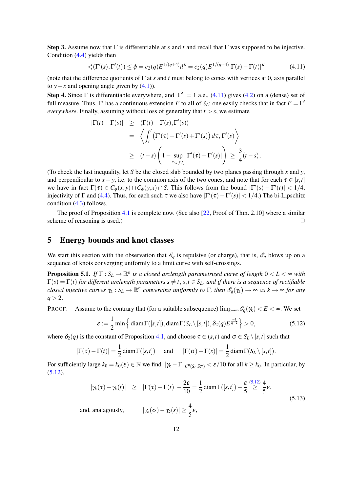<span id="page-12-5"></span>Step 3. Assume now that Γ is differentiable at *s* and *t* and recall that Γ was supposed to be injective. Condition [\(4.4\)](#page-11-2) yields then

<span id="page-12-2"></span>
$$
\triangleleft(\Gamma'(s), \Gamma'(t)) \le \phi = c_2(q) E^{1/(q+4)} d^k = c_2(q) E^{1/(q+4)} |\Gamma(s) - \Gamma(t)|^k \tag{4.11}
$$

(note that the difference quotients of Γ at *s* and *t* must belong to cones with vertices at 0, axis parallel to *y*−*x* and opening angle given by  $(4.1)$ ).

Step 4. Since  $\Gamma$  is differentiable everywhere, and  $|\Gamma'| = 1$  a.e., [\(4.11\)](#page-12-2) gives [\(4.2\)](#page-11-4) on a (dense) set of full measure. Thus,  $\Gamma'$  has a continuous extension *F* to all of  $S_L$ ; one easily checks that in fact  $F = \Gamma'$ *everywhere*. Finally, assuming without loss of generality that  $t > s$ , we estimate

$$
\begin{array}{rcl} |\Gamma(t)-\Gamma(s)| & \geq & \langle \Gamma(t)-\Gamma(s),\Gamma'(s) \rangle \\ & = & \left\langle \int_s^t \left( \Gamma'(\tau)-\Gamma'(s)+\Gamma'(s) \right) d\tau, \Gamma'(s) \right\rangle \\ & \geq & (t-s) \left( 1 - \sup_{\tau \in [s,t]} |\Gamma'(\tau)-\Gamma'(s)| \right) \geq \frac{3}{4} (t-s) \, . \end{array}
$$

(To check the last inequality, let *S* be the closed slab bounded by two planes passing through *x* and *y*, and perpendicular to  $x - y$ , i.e. to the common axis of the two cones, and note that for each  $\tau \in [s,t]$ we have in fact  $\Gamma(\tau) \in C_{\phi}(x, y) \cap C_{\phi}(y, x) \cap S$ . This follows from the bound  $|\Gamma'(s) - \Gamma'(t)| < 1/4$ , injectivity of  $\Gamma$  and [\(4.4\)](#page-11-2). Thus, for each such  $\tau$  we also have  $|\Gamma'(\tau) - \Gamma'(s)| < 1/4$ .) The bi-Lipschitz condition [\(4.3\)](#page-11-5) follows.

The proof of Proposition [4.1](#page-10-6) is complete now. (See also [\[22,](#page-23-12) Proof of Thm. 2.10] where a similar scheme of reasoning is used.)  $\Box$ 

### <span id="page-12-1"></span>5 Energy bounds and knot classes

We start this section with the observation that  $\mathscr{E}_q$  is repulsive (or charge), that is,  $\mathscr{E}_q$  blows up on a sequence of knots converging uniformly to a limit curve with self-crossings.

<span id="page-12-0"></span>**Proposition 5.1.** *If*  $\Gamma: S_L \to \mathbb{R}^n$  is a closed arclength parametrized curve of length  $0 < L < \infty$  with  $\Gamma(s) = \Gamma(t)$  *for different arclength parameters*  $s \neq t$ ,  $s, t \in S_L$ , *and if there is a sequence of rectifiable closed injective curves*  $\gamma_k : S_L \to \mathbb{R}^n$  converging uniformly to  $\Gamma$ , then  $\mathscr{E}_q(\gamma_k) \to \infty$  as  $k \to \infty$  for any  $q > 2$ .

PROOF: Assume to the contrary that (for a suitable subsequence)  $\lim_{k\to\infty} \mathcal{E}_q(\gamma_k) < E < \infty$ . We set

<span id="page-12-3"></span>
$$
\varepsilon := \frac{1}{2} \min \left\{ \operatorname{diam} \Gamma([s,t]), \operatorname{diam} \Gamma(S_L \setminus [s,t]), \delta_2(q) E^{\frac{-1}{q-2}} \right\} > 0, \tag{5.12}
$$

where  $\delta_2(q)$  is the constant of Proposition [4.1,](#page-10-6) and choose  $\tau \in (s,t)$  and  $\sigma \in S_L \setminus [s,t]$  such that

$$
|\Gamma(\tau) - \Gamma(t)| = \frac{1}{2} \operatorname{diam} \Gamma([s, t])
$$
 and  $|\Gamma(\sigma) - \Gamma(s)| = \frac{1}{2} \operatorname{diam} \Gamma(S_L \setminus [s, t]).$ 

For sufficiently large  $k_0 = k_0(\varepsilon) \in \mathbb{N}$  we find  $\|\gamma_k - \Gamma\|_{C^0(S_L, \mathbb{R}^n)} < \varepsilon/10$  for all  $k \geq k_0$ . In particular, by [\(5.12\)](#page-12-3),

<span id="page-12-4"></span>
$$
|\gamma_k(\tau) - \gamma_k(t)| \geq |\Gamma(\tau) - \Gamma(t)| - \frac{2\varepsilon}{10} = \frac{1}{2} \operatorname{diam} \Gamma([s, t]) - \frac{\varepsilon}{5} \stackrel{(5.12)}{\geq} \frac{4}{5} \varepsilon,
$$
  
and, analogously,  $|\gamma_k(\sigma) - \gamma_k(s)| \geq \frac{4}{5} \varepsilon,$  (5.13)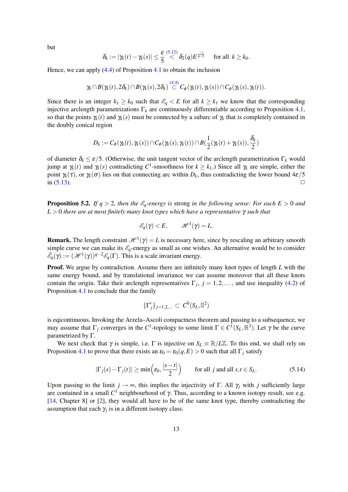<span id="page-13-2"></span>but

$$
\delta_k := |\gamma_k(t) - \gamma_k(s)| \leq \frac{\varepsilon}{5} \stackrel{(5.12)}{\lt} \delta_2(q) E^{\frac{-1}{q-2}} \quad \text{ for all } k \geq k_0.
$$

Hence, we can apply [\(4.4\)](#page-11-2) of Proposition [4.1](#page-10-6) to obtain the inclusion

$$
\gamma_k\cap B(\gamma_k(t),2\delta_k)\cap B(\gamma_k(s),2\delta_k)\overset{(4.4)}{\subset}C_\phi(\gamma_k(t),\gamma_k(s))\cap C_\phi(\gamma_k(s),\gamma_k(t)).
$$

Since there is an integer  $k_1 \geq k_0$  such that  $\mathscr{E}_q < E$  for all  $k \geq k_1$  we know that the corresponding injective arclength parametrizations  $\Gamma_k$  are continuously differentiable according to Proposition [4.1,](#page-10-6) so that the points  $\gamma_k(t)$  and  $\gamma_k(s)$  must be connected by a subarc of  $\gamma_k$  that is completely contained in the doubly conical region

$$
D_k := C_{\phi}(\gamma_k(t), \gamma_k(s)) \cap C_{\phi}(\gamma_k(s), \gamma_k(t)) \cap B(\frac{1}{2}(\gamma_k(t) + \gamma_k(s)), \frac{\delta_k}{2})
$$

of diameter  $\delta_k \leq \varepsilon/5$ . (Otherwise, the unit tangent vector of the arclength parametrization  $\Gamma_k$  would jump at γ*k*(*t*) and γ*k*(*s*) contradicting *C* 1 -smoothness for *k* ≥ *k*1.) Since all γ*<sup>k</sup>* are simple, either the point  $\gamma_k(\tau)$ , or  $\gamma_k(\sigma)$  lies on that connecting arc within  $D_k$ , thus contradicting the lower bound  $4\varepsilon/5$ in  $(5.13)$ .

<span id="page-13-0"></span>**Proposition 5.2.** *If q* > 2*, then the*  $\mathscr{E}_q$ -energy *is* strong *in the following sense: For each E* > 0 *and L* > 0 *there are at most finitely many knot types which have a representative* γ *such that*

$$
\mathscr{E}_q(\gamma) < E, \qquad \mathscr{H}^1(\gamma) = L.
$$

**Remark.** The length constraint  $\mathcal{H}^1(\gamma) = L$  is necessary here, since by rescaling an arbitrary smooth simple curve we can make its  $\mathscr{E}_q$ -energy as small as one wishes. An alternative would be to consider  $\tilde{\mathscr{E}}_q(\gamma) := (\mathscr{H}^1(\gamma))^{q-2} \mathscr{E}_q(\Gamma)$ . This is a scale invariant energy.

**Proof.** We argue by contradiction. Assume there are infinitely many knot types of length *L* with the same energy bound, and by translational invariance we can assume moreover that all these knots contain the origin. Take their arclength representatives  $\Gamma_j$ ,  $j = 1, 2, \dots$ , and use inequality [\(4.2\)](#page-11-4) of Proposition [4.1](#page-10-6) to conclude that the family

$$
\{\Gamma'_j\}_{j=1,2,\dots} \subset C^0(S_L,\mathbb{S}^2)
$$

is eqicontinuous. Invoking the Arzela–Ascoli compactness theorem and passing to a subsequence, we may assume that  $\Gamma_j$  converges in the  $C^1$ -topology to some limit  $\Gamma \in C^1(S_L, \mathbb{R}^3)$ . Let  $\gamma$  be the curve parametrized by Γ.

We next check that  $\gamma$  is simple, i.e.  $\Gamma$  is injective on  $S_L \equiv \mathbb{R}/L\mathbb{Z}$ . To this end, we shall rely on Proposition [4.1](#page-10-6) to prove that there exists an  $\varepsilon_0 = \varepsilon_0(q, E) > 0$  such that all  $\Gamma_i$  satisfy

<span id="page-13-1"></span>
$$
|\Gamma_j(s) - \Gamma_j(t)| \ge \min\left(\varepsilon_0, \frac{|s - t|}{2}\right) \qquad \text{for all } j \text{ and all } s, t \in S_L.
$$
 (5.14)

Upon passing to the limit  $j \rightarrow \infty$ , this implies the injectivity of Γ. All  $\gamma_i$  with *j* sufficiently large are contained in a small  $C^1$  neighbourhood of  $\gamma$ . Thus, according to a known isotopy result, see e.g. [\[14,](#page-23-3) Chapter 8] or [\[2\]](#page-22-0), they would all have to be of the same knot type, thereby contradicting the assumption that each  $\gamma_j$  is in a different isotopy class.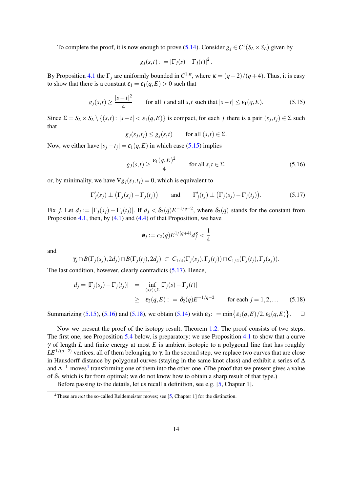<span id="page-14-5"></span>To complete the proof, it is now enough to prove [\(5.14\)](#page-13-1). Consider  $g_j \in C^1(S_L \times S_L)$  given by

$$
g_j(s,t):=|\Gamma_j(s)-\Gamma_j(t)|^2.
$$

By Proposition [4.1](#page-10-6) the  $\Gamma_j$  are uniformly bounded in  $C^{1,\kappa}$ , where  $\kappa = (q-2)/(q+4)$ . Thus, it is easy to show that there is a constant  $\varepsilon_1 = \varepsilon_1(q, E) > 0$  such that

<span id="page-14-0"></span>
$$
g_j(s,t) \ge \frac{|s-t|^2}{4} \qquad \text{for all } j \text{ and all } s,t \text{ such that } |s-t| \le \varepsilon_1(q,E). \tag{5.15}
$$

Since  $\Sigma = S_L \times S_L \setminus \{(s,t) : |s-t| < \varepsilon_1(q,E)\}\$ is compact, for each *j* there is a pair  $(s_j,t_j) \in \Sigma$  such that

$$
g_j(s_j,t_j) \leq g_j(s,t)
$$
 for all  $(s,t) \in \Sigma$ .

Now, we either have  $|s_j - t_j| = \varepsilon_1(q, E)$  in which case [\(5.15\)](#page-14-0) implies

<span id="page-14-2"></span>
$$
g_j(s,t) \ge \frac{\varepsilon_1(q,E)^2}{4} \qquad \text{for all } s,t \in \Sigma,
$$
 (5.16)

or, by minimality, we have  $\nabla g_j(s_j,t_j) = 0$ , which is equivalent to

<span id="page-14-1"></span>
$$
\Gamma'_j(s_j) \perp (\Gamma_j(s_j) - \Gamma_j(t_j))
$$
 and  $\Gamma'_j(t_j) \perp (\Gamma_j(s_j) - \Gamma_j(t_j)).$  (5.17)

Fix *j*. Let  $d_j := |\Gamma_j(s_j) - \Gamma_j(t_j)|$ . If  $d_j < \delta_2(q)E^{-1/q-2}$ , where  $\delta_2(q)$  stands for the constant from Proposition [4.1,](#page-10-6) then, by  $(4.1)$  and  $(4.4)$  of that Proposition, we have

$$
\phi_j := c_2(q) E^{1/(q+4)} d_j^{\kappa} < \frac{1}{4}
$$

and

$$
\gamma_j\cap B(\Gamma_j(s_j),2d_j)\cap B(\Gamma_j(t_j),2d_j)\,\subset\, C_{1/4}(\Gamma_j(s_j),\Gamma_j(t_j))\cap C_{1/4}(\Gamma_j(t_j),\Gamma_j(s_j)).
$$

The last condition, however, clearly contradicts [\(5.17\)](#page-14-1). Hence,

<span id="page-14-3"></span>
$$
d_j = |\Gamma_j(s_j) - \Gamma_j(t_j)| = \inf_{(s,t) \in \Sigma} |\Gamma_j(s) - \Gamma_j(t)|
$$
  
 
$$
\ge \varepsilon_2(q, E) : = \delta_2(q) E^{-1/q - 2} \qquad \text{for each } j = 1, 2, ... \qquad (5.18)
$$

Summarizing [\(5.15\)](#page-14-0), [\(5.16\)](#page-14-2) and [\(5.18\)](#page-14-3), we obtain [\(5.14\)](#page-13-1) with  $\varepsilon_0$ : = min $\{\varepsilon_1(q,E)/2, \varepsilon_2(q,E)\}$  $\Box$ 

Now we present the proof of the isotopy result, Theorem [1.2.](#page-3-1) The proof consists of two steps. The first one, see Proposition [5.4](#page-15-0) below, is preparatory: we use Proposition [4.1](#page-10-6) to show that a curve γ of length *L* and finite energy at most *E* is ambient isotopic to a polygonal line that has roughly  $LE^{1/(q-2)}$  vertices, all of them belonging to  $\gamma$ . In the second step, we replace two curves that are close in Hausdorff distance by polygonal curves (staying in the same knot class) and exhibit a series of ∆ and  $\Delta^{-1}$ -moves<sup>[4](#page-14-4)</sup> transforming one of them into the other one. (The proof that we present gives a value of  $\delta_3$  which is far from optimal; we do not know how to obtain a sharp result of that type.)

Before passing to the details, let us recall a definition, see e.g. [\[5,](#page-22-6) Chapter 1].

<span id="page-14-4"></span><sup>&</sup>lt;sup>4</sup>These are *not* the so-called Reidemeister moves; see [\[5,](#page-22-6) Chapter 1] for the distinction.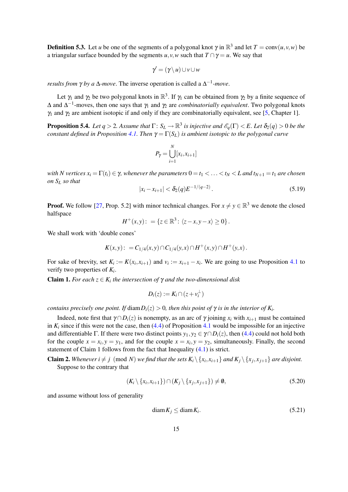<span id="page-15-3"></span>**Definition 5.3.** Let *u* be one of the segments of a polygonal knot  $\gamma$  in  $\mathbb{R}^3$  and let  $T = \text{conv}(u, v, w)$  be a triangular surface bounded by the segments *u*,*v*,*w* such that  $T \cap \gamma = u$ . We say that

$$
\gamma' = (\gamma \setminus u) \cup v \cup w
$$

*results from*  $\gamma$  *by a*  $\Delta$ *-move*. The inverse operation is called a  $\Delta^{-1}$ *-move*.

Let  $\gamma_1$  and  $\gamma_2$  be two polygonal knots in  $\mathbb{R}^3$ . If  $\gamma_1$  can be obtained from  $\gamma_2$  by a finite sequence of ∆ and ∆ −1 -moves, then one says that γ<sup>1</sup> and γ<sup>2</sup> are *combinatorially equivalent*. Two polygonal knots  $\gamma_1$  and  $\gamma_2$  are ambient isotopic if and only if they are combinatorially equivalent, see [\[5,](#page-22-6) Chapter 1].

<span id="page-15-0"></span>**Proposition 5.4.** Let  $q > 2$ . Assume that  $\Gamma: S_L \to \mathbb{R}^3$  is injective and  $\mathscr{E}_q(\Gamma) < E$ . Let  $\delta_2(q) > 0$  be the *constant defined in Proposition* [4.1.](#page-10-6) *Then*  $\gamma = \Gamma(S_L)$  *is ambient isotopic to the polygonal curve* 

$$
P_{\gamma} = \bigcup_{i=1}^{N} [x_i, x_{i+1}]
$$

*with N vertices*  $x_i = \Gamma(t_i) \in \gamma$ , whenever the parameters  $0 = t_1 < \ldots < t_N < L$  and  $t_{N+1} = t_1$  are chosen *on S<sup>L</sup> so that*

$$
|x_i - x_{i+1}| < \delta_2(q) E^{-1/(q-2)} \,. \tag{5.19}
$$

**Proof.** We follow [\[27,](#page-23-4) Prop. 5.2] with minor technical changes. For  $x \neq y \in \mathbb{R}^3$  we denote the closed halfspace

$$
H^+(x,y): = \{z \in \mathbb{R}^3 \colon \langle z-x, y-x \rangle \ge 0\}.
$$

We shall work with 'double cones'

$$
K(x,y):=C_{1/4}(x,y)\cap C_{1/4}(y,x)\cap H^+(x,y)\cap H^+(y,x).
$$

For sake of brevity, set  $K_i := K(x_i, x_{i+1})$  and  $v_i := x_{i+1} - x_i$ . We are going to use Proposition [4.1](#page-10-6) to verify two properties of *K<sup>i</sup>* .

**Claim 1.** *For each*  $z \in K_i$  *the intersection of*  $\gamma$  *and the two-dimensional disk* 

$$
D_i(z) := K_i \cap (z + v_i^{\perp})
$$

*contains precisely one point. If diam* $D_i(z) > 0$ , then this point of  $\gamma$  is in the interior of  $K_i$ .

Indeed, note first that  $\gamma \cap D_i(z)$  is nonempty, as an arc of  $\gamma$  joining  $x_i$  with  $x_{i+1}$  must be contained in  $K_i$  since if this were not the case, then [\(4.4\)](#page-11-2) of Proposition [4.1](#page-10-6) would be impossible for an injective and differentiable Γ. If there were two distinct points  $y_1, y_2 \in \gamma \cap D_i(z)$ , then [\(4.4\)](#page-11-2) could not hold both for the couple  $x = x_i$ ,  $y = y_1$ , and for the couple  $x = x_i$ ,  $y = y_2$ , simultaneously. Finally, the second statement of Claim 1 follows from the fact that Inequality [\(4.1\)](#page-11-3) is strict.

**Claim 2.** Whenever  $i \neq j \pmod{N}$  we find that the sets  $K_i \setminus \{x_i, x_{i+1}\}$  and  $K_j \setminus \{x_j, x_{j+1}\}$  are disjoint. Suppose to the contrary that

<span id="page-15-1"></span>
$$
(K_i \setminus \{x_i, x_{i+1}\}) \cap (K_j \setminus \{x_j, x_{j+1}\}) \neq \emptyset,
$$
\n
$$
(5.20)
$$

and assume without loss of generality

<span id="page-15-2"></span>
$$
diam K_j \leq diam K_i. \tag{5.21}
$$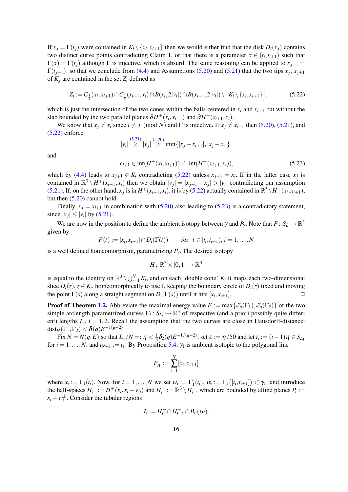If  $x_j = \Gamma(t_j)$  were contained in  $K_i \setminus \{x_i, x_{i+1}\}\$  then we would either find that the disk  $D_i(x_j)$  contains two distinct curve points contradicting Claim 1, or that there is a parameter  $\tau \in (t_i, t_{i+1})$  such that  $Γ(τ) = Γ(t<sub>i</sub>)$  although Γ is injective, which is absurd. The same reasoning can be applied to  $x<sub>i+1</sub>$  =  $\Gamma(t_{j+1})$ , so that we conclude from [\(4.4\)](#page-11-2) and Assumptions [\(5.20\)](#page-15-1) and [\(5.21\)](#page-15-2) that the two tips  $x_j$ ,  $x_{j+1}$ of  $K_i$  are contained in the set  $Z_i$  defined as

<span id="page-16-0"></span>
$$
Z_i := C_{\frac{1}{4}}(x_i, x_{i+1}) \cap C_{\frac{1}{4}}(x_{i+1}, x_i) \cap B(x_i, 2|v_i|) \cap B(x_{i+1}, 2|v_i|) \setminus \Big[K_i \setminus \{x_i, x_{i+1}\}\Big],
$$
(5.22)

which is just the intersection of the two cones within the balls centered in  $x_i$  and  $x_{i+1}$  but without the slab bounded by the two parallel planes  $\partial H^+(x_i, x_{i+1})$  and  $\partial H^+(x_{i+1}, x_i)$ .

We know that  $x_j \neq x_i$  since  $i \neq j \pmod{N}$  and  $\Gamma$  is injective. If  $x_j \neq x_{i+1}$  then [\(5.20\)](#page-15-1), [\(5.21\)](#page-15-2), and [\(5.22\)](#page-16-0) enforce

$$
|v_i| \stackrel{(5.21)}{\geq} |v_j| \stackrel{(5.20)}{\geq} \min\{|x_j - x_{i+1}|, |x_j - x_i|\},
$$

and

<span id="page-16-1"></span>
$$
x_{j+1} \in \text{int}(H^+(x_i, x_{i+1})) \cap \text{int}(H^+(x_{i+1}, x_i)), \tag{5.23}
$$

which by [\(4.4\)](#page-11-2) leads to  $x_{j+1} \in K_i$  contradicting [\(5.22\)](#page-16-0) unless  $x_{j+1} = x_i$ . If in the latter case  $x_j$  is contained in  $\mathbb{R}^3 \setminus H^+(x_{i+1}, x_i)$  then we obtain  $|v_j| = |x_{j+1} - x_j| > |v_i|$  contradicting our assumption [\(5.21\)](#page-15-2). If, on the other hand,  $x_j$  is in  $H^+(x_{i+1}, x_i)$ , it is by [\(5.22\)](#page-16-0) actually contained in  $\mathbb{R}^3 \setminus H^+(x_i, x_{i+1})$ , but then [\(5.20\)](#page-15-1) cannot hold.

Finally,  $x_i = x_{i+1}$  in combination with [\(5.20\)](#page-15-1) also leading to [\(5.23\)](#page-16-1) is a contradictory statement, since  $|v_j| \le |v_i|$  by [\(5.21\)](#page-15-2).

We are now in the position to define the ambient isotopy between  $\gamma$  and  $P_\gamma$ . Note that  $F: S_L \to \mathbb{R}^3$ given by

$$
F(t) := [x_i, x_{i+1}] \cap D_i(\Gamma(t))
$$
 for  $t \in [t_i, t_{i+1}), i = 1,...,N$ 

is a well defined homeomorphism, parametrizing  $P<sub>Y</sub>$ . The desired isotopy

$$
H\colon \mathbb{R}^3\times [0,1]\to \mathbb{R}^3
$$

is equal to the identity on  $\mathbb{R}^3 \setminus \bigcup_{i=1}^N K_i$ , and on each 'double cone'  $K_i$  it maps each two-dimensional slice  $D_i(z)$ ,  $z \in K_i$ , homeomorphically to itself, keeping the boundary circle of  $D_i(z)$  fixed and moving the point  $\Gamma(s)$  along a straight segment on  $D_i(\Gamma(s))$  until it hits  $[x_i, x_{i+1}]$ .

**Proof of Theorem [1.2.](#page-3-1)** Abbreviate the maximal energy value  $E := \max\{\mathscr{E}_q(\Gamma_1), \mathscr{E}_q(\Gamma_2)\}$  of the two simple arclength parametrized curves  $\Gamma_i$ :  $S_{L_i} \to \mathbb{R}^3$  of respective (and a priori possibly quite different) lengths  $L_i$ ,  $i = 1, 2$ . Recall the assumption that the two curves are close in Hausdorff-distance:  $\mathrm{dist}_H(\Gamma_1,\Gamma_2)<\boldsymbol{\delta}(q)E^{-1(q-2)}.$ 

Fix  $N = N(q, E)$  so that  $L_1/N =: \eta < \frac{1}{3}$  $\frac{1}{3}\delta_2(q)E^{-1/(q-2)}$ , set  $\varepsilon := \eta/50$  and let  $t_i := (i-1)\eta \in S_{L_1}$ for  $i = 1, \ldots, N$ , and  $t_{N+1} := t_1$ . By Proposition [5.4,](#page-15-0)  $\gamma_1$  is ambient isotopic to the polygonal line

$$
P_{\gamma_1} := \sum_{i=1}^N [x_i, x_{i+1}]
$$

where  $x_i := \Gamma_1(t_i)$ . Now, for  $i = 1, ..., N$  we set  $w_i := \Gamma'_1(t_i)$ ,  $\alpha_i := \Gamma_1([t_i, t_{i+1}]) \subset \gamma_1$ , and introduce the half-spaces  $H_i^+ := H^+(x_i, x_i + w_i)$  and  $H_i^- := \mathbb{R}^3 \setminus H_i^+$ , which are bounded by affine planes  $P_i :=$  $x_i + w_i^{\perp}$ . Consider the tubular regions

$$
T_i := H_i^+ \cap H_{i+1}^- \cap B_{\varepsilon}(\alpha_i).
$$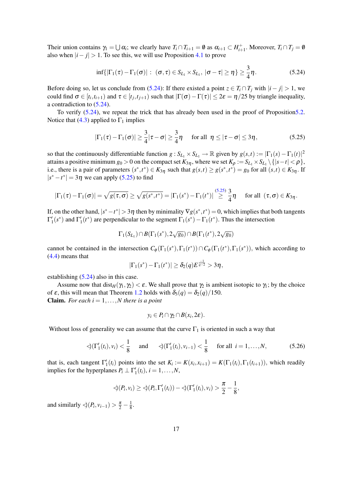Their union contains  $\gamma_1 = \bigcup \alpha_i$ ; we clearly have  $T_i \cap T_{i+1} = \emptyset$  as  $\alpha_{i+1} \subset H_{i+1}^+$ . Moreover,  $T_i \cap T_j = \emptyset$ also when  $|i - j| > 1$ . To see this, we will use Proposition [4.1](#page-10-6) to prove

<span id="page-17-0"></span>
$$
\inf\{|\Gamma_1(\tau)-\Gamma_1(\sigma)|:\;(\sigma,\tau)\in S_{L_1}\times S_{L_1},\;|\sigma-\tau|\geq\eta\}\geq\frac{3}{4}\eta.\tag{5.24}
$$

Before doing so, let us conclude from [\(5.24\)](#page-17-0): If there existed a point  $z \in T_i \cap T_j$  with  $|i - j| > 1$ , we could find  $\sigma \in [t_i, t_{i+1})$  and  $\tau \in [t_j, t_{j+1})$  such that  $|\Gamma(\sigma) - \Gamma(\tau)| \leq 2\varepsilon = \eta/25$  by triangle inequality, a contradiction to [\(5.24\)](#page-17-0).

To verify [\(5.24\)](#page-17-0), we repeat the trick that has already been used in the proof of Propositio[n5.2.](#page-13-0) Notice that [\(4.3\)](#page-11-5) applied to  $\Gamma_1$  implies

<span id="page-17-1"></span>
$$
|\Gamma_1(\tau)-\Gamma_1(\sigma)|\geq \frac{3}{4}|\tau-\sigma|\geq \frac{3}{4}\eta \quad \text{ for all } \eta\leq |\tau-\sigma|\leq 3\eta,
$$
 (5.25)

so that the continuously differentiable function  $g : S_{L_1} \times S_{L_1} \to \mathbb{R}$  given by  $g(s,t) := |\Gamma_1(s) - \Gamma_1(t)|^2$ attains a positive minimum  $g_0 > 0$  on the compact set  $K_{3\eta}$ , where we set  $K_\rho := S_{L_1} \times S_{L_1} \setminus \{|s - t| < \rho\}$ , i.e., there is a pair of parameters  $(s^*, t^*) \in K_{3\eta}$  such that  $g(s,t) \ge g(s^*, t^*) = g_0$  for all  $(s,t) \in K_{3\eta}$ . If  $|s^* - t^*| = 3\eta$  we can apply [\(5.25\)](#page-17-1) to find

$$
|\Gamma_1(\tau)-\Gamma_1(\sigma)|=\sqrt{g(\tau,\sigma)}\geq \sqrt{g(s^*,t^*)}=|\Gamma_1(s^*)-\Gamma_1(t^*)|\stackrel{(5.25)}{\geq} \frac{3}{4}\eta \quad \text{ for all } (\tau,\sigma)\in K_{3\eta}.
$$

If, on the other hand,  $|s^* - t^*| > 3\eta$  then by minimality  $\nabla g(s^*, t^*) = 0$ , which implies that both tangents  $\Gamma'_1(s^*)$  and  $\Gamma'_1(t^*)$  are perpendicular to the segment  $\Gamma_1(s^*) - \Gamma_1(t^*)$ . Thus the intersection

$$
\Gamma_1(S_{L_1}) \cap B(\Gamma_1(s^*), 2\sqrt{s_0}) \cap B(\Gamma_1(t^*), 2\sqrt{s_0})
$$

cannot be contained in the intersection  $C_{\phi}(\Gamma_1(s^*), \Gamma_1(t^*)) \cap C_{\phi}(\Gamma_1(t^*), \Gamma_1(s^*))$ , which according to [\(4.4\)](#page-11-2) means that

$$
|\Gamma_1(s^*) - \Gamma_1(t^*)| \geq \delta_2(q) E^{\frac{-1}{q-2}} > 3\eta,
$$

establishing [\(5.24\)](#page-17-0) also in this case.

Assume now that  $dist_H(\gamma_1, \gamma_2) < \varepsilon$ . We shall prove that  $\gamma_2$  is ambient isotopic to  $\gamma_1$ ; by the choice of  $\varepsilon$ , this will mean that Theorem [1.2](#page-3-1) holds with  $\delta_3(q) = \delta_2(q)/150$ . **Claim.** *For each*  $i = 1, \ldots, N$  *there is a point* 

$$
y_i\in P_i\cap \gamma_2\cap B(x_i,2\varepsilon).
$$

Without loss of generality we can assume that the curve  $\Gamma_1$  is oriented in such a way that

<span id="page-17-2"></span>
$$
\triangleleft (\Gamma'_1(t_i), v_i) < \frac{1}{8}
$$
 and  $\triangleleft (\Gamma'_1(t_i), v_{i-1}) < \frac{1}{8}$  for all  $i = 1,..., N$ , (5.26)

that is, each tangent  $\Gamma'_1(t_i)$  points into the set  $K_i := K(x_i, x_{i+1}) = K(\Gamma_1(t_i), \Gamma_1(t_{i+1}))$ , which readily implies for the hyperplanes  $P_i \perp \Gamma'_1(t_i)$ ,  $i = 1, \ldots, N$ ,

$$
\langle P_i, v_i \rangle \ge \langle P_i, \Gamma'_1(t_i) \rangle - \langle \langle \Gamma'_1(t_i), v_i \rangle \rangle \frac{\pi}{2} - \frac{1}{8},
$$

and similarly  $\triangleleft(P_i, v_{i-1}) > \frac{\pi}{2} - \frac{1}{8}$  $\frac{1}{8}$ .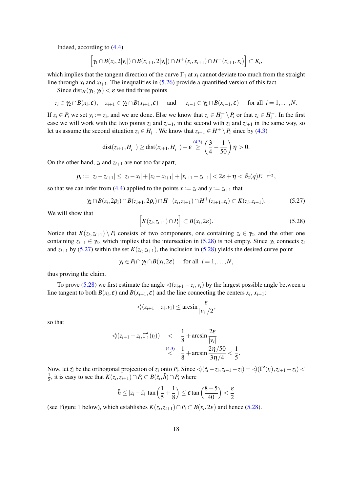Indeed, according to [\(4.4\)](#page-11-2)

$$
\left[\gamma_1\cap B(x_i,2|v_i|)\cap B(x_{i+1},2|v_i|)\cap H^+(x_i,x_{i+1})\cap H^+(x_{i+1},x_i)\right]\subset K_i,
$$

which implies that the tangent direction of the curve  $\Gamma_1$  at  $x_i$  cannot deviate too much from the straight line through  $x_i$  and  $x_{i+1}$ . The inequalities in [\(5.26\)](#page-17-2) provide a quantified version of this fact.

Since dist<sub>H</sub>( $\gamma_1, \gamma_2$ ) <  $\varepsilon$  we find three points

$$
z_i \in \gamma_2 \cap B(x_i, \varepsilon), \quad z_{i+1} \in \gamma_2 \cap B(x_{i+1}, \varepsilon) \quad \text{ and } \quad z_{i-1} \in \gamma_2 \cap B(x_{i-1}, \varepsilon) \quad \text{ for all } i = 1, \ldots, N.
$$

If  $z_i \in P_i$  we set  $y_i := z_i$ , and we are done. Else we know that  $z_i \in H_i^+ \setminus P_i$  or that  $z_i \in H_i^-$ . In the first case we will work with the two points  $z_i$  and  $z_{i-1}$ , in the second with  $z_i$  and  $z_{i+1}$  in the same way, so let us assume the second situation  $z_i \in H_i^-$ . We know that  $z_{i+1} \in H^+ \setminus P_i$  since by [\(4.3\)](#page-11-5)

$$
dist(z_{i+1}, H_i^-) \geq dist(x_{i+1}, H_i^-) - \varepsilon \stackrel{(4.3)}{\geq} \left(\frac{3}{4} - \frac{1}{50}\right)\eta > 0.
$$

On the other hand,  $z_i$  and  $z_{i+1}$  are not too far apart,

$$
\rho_i := |z_i - z_{i+1}| \leq |z_i - x_i| + |x_i - x_{i+1}| + |x_{i+1} - z_{i+1}| < 2\varepsilon + \eta < \delta_2(q)E^{-\frac{1}{q-2}},
$$

so that we can infer from [\(4.4\)](#page-11-2) applied to the points  $x := z_i$  and  $y := z_{i+1}$  that

<span id="page-18-1"></span>
$$
\gamma_2 \cap B(z_i, 2\rho_i) \cap B(z_{i+1}, 2\rho_i) \cap H^+(z_i, z_{i+1}) \cap H^+(z_{i+1}, z_i) \subset K(z_i, z_{i+1}). \tag{5.27}
$$

We will show that

<span id="page-18-0"></span>
$$
\[K(z_i,z_{i+1})\cap P_i\] \subset B(x_i,2\varepsilon). \tag{5.28}
$$

Notice that  $K(z_i, z_{i+1}) \setminus P_i$  consists of two components, one containing  $z_i \in \gamma_2$ , and the other one containing  $z_{i+1} \in \gamma_2$ , which implies that the intersection in [\(5.28\)](#page-18-0) is not empty. Since  $\gamma_2$  connects  $z_i$ and  $z_{i+1}$  by [\(5.27\)](#page-18-1) within the set  $K(z_i, z_{i+1})$ , the inclusion in [\(5.28\)](#page-18-0) yields the desired curve point

$$
y_i \in P_i \cap \gamma_2 \cap B(x_i, 2\varepsilon)
$$
 for all  $i = 1, ..., N$ ,

thus proving the claim.

To prove [\(5.28\)](#page-18-0) we first estimate the angle  $\Diamond(z_{i+1} - z_i, v_i)$  by the largest possible angle between a line tangent to both  $B(x_i, \varepsilon)$  and  $B(x_{i+1}, \varepsilon)$  and the line connecting the centers  $x_i, x_{i+1}$ :

$$
\bigtriangleup(z_{i+1}-z_i,v_i)\leq \arcsin \frac{\varepsilon}{|v_i|/2},
$$

so that

$$
\triangleleft(z_{i+1} - z_i, \Gamma'_1(t_i)) < \frac{1}{8} + \arcsin \frac{2\varepsilon}{|v_i|} \\
 \stackrel{(4.3)}{\leq} \frac{1}{8} + \arcsin \frac{2\eta/50}{3\eta/4} < \frac{1}{5}.
$$

Now, let  $\tilde{z}_i$  be the orthogonal projection of  $z_i$  onto  $P_i$ . Since  $\Diamond(\tilde{z}_i - z_i, z_{i+1} - z_i) = \Diamond(\Gamma'(t_i), z_{i+1} - z_i) <$ 1  $\frac{1}{5}$ , it is easy to see that  $K(z_i, z_{i+1}) \cap P_i \subset B(\tilde{z}_i, \tilde{h}) \cap P_i$  where

$$
\tilde{h} \le |z_i - \tilde{z}_i| \tan\left(\frac{1}{5} + \frac{1}{8}\right) \le \varepsilon \tan\left(\frac{8+5}{40}\right) < \frac{\varepsilon}{2}
$$

(see Figure 1 below), which establishes  $K(z_i, z_{i+1}) \cap P_i \subset B(x_i, 2\varepsilon)$  and hence [\(5.28\)](#page-18-0).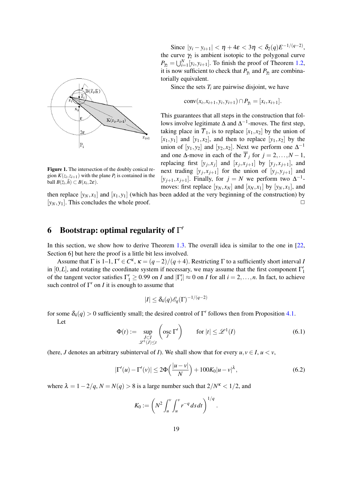<span id="page-19-2"></span>

Since  $|y_i - y_{i+1}| < \eta + 4\varepsilon < 3\eta < \delta_2(q)E^{-1/(q-2)}$ , the curve  $\gamma_2$  is ambient isotopic to the polygonal curve  $P_{\gamma_2} = \bigcup_{i=1}^N [y_i, y_{i+1}]$ . To finish the proof of Theorem [1.2,](#page-3-1) it is now sufficient to check that  $P_{\gamma_1}$  and  $P_{\gamma_2}$  are combinatorially equivalent.

Since the sets *T<sup>i</sup>* are pairwise disjoint, we have

$$
conv(x_i, x_{i+1}, y_i, y_{i+1}) \cap P_{\gamma_1} = [x_i, x_{i+1}].
$$

This guarantees that all steps in the construction that follows involve legitimate  $\Delta$  and  $\Delta^{-1}$ -moves. The first step, taking place in  $\overline{T}_1$ , is to replace  $[x_1, x_2]$  by the union of  $[x_1, y_1]$  and  $[y_1, x_2]$ , and then to replace  $[y_1, x_2]$  by the union of  $[y_1, y_2]$  and  $[y_2, x_2]$ . Next we perform one  $\Delta^{-1}$ and one  $\Delta$ -move in each of the  $\overline{T}_i$  for  $j = 2, ..., N - 1$ , replacing first  $[y_j, x_j]$  and  $[x_j, x_{j+1}]$  by  $[y_j, x_{j+1}]$ , and next trading  $[y_j, x_{j+1}]$  for the union of  $[y_j, y_{j+1}]$  and [ $y_{j+1}, x_{j+1}$ ]. Finally, for  $j = N$  we perform two  $\Delta^{-1}$ moves: first replace  $[y_N, x_N]$  and  $[x_N, x_1]$  by  $[y_N, x_1]$ , and

Figure 1. The intersection of the doubly conical region  $K(z_i, z_{i+1})$  with the plane  $P_i$  is contained in the ball  $B(\tilde{z}_i, \tilde{h}) \subset B(x_i, 2\varepsilon)$ .

then replace  $[y_N, x_1]$  and  $[x_1, y_1]$  (which has been added at the very beginning of the construction) by  $[y_N, y_1]$ . This concludes the whole proof.  $\square$ 

# <span id="page-19-0"></span>6 Bootstrap: optimal regularity of  $\Gamma'$

In this section, we show how to derive Theorem [1.3.](#page-3-3) The overall idea is similar to the one in [\[22,](#page-23-12) Section 6] but here the proof is a little bit less involved.

Assume that  $\Gamma$  is 1–1,  $\Gamma' \in C^{\kappa}$ ,  $\kappa = (q-2)/(q+4)$ . Restricting  $\Gamma$  to a sufficiently short interval *I* in [0,*L*], and rotating the coordinate system if necessary, we may assume that the first component  $\Gamma'_1$ of the tangent vector satisfies  $\Gamma'_1 \ge 0.99$  on *I* and  $|\Gamma'_i| \approx 0$  on *I* for all  $i = 2, ..., n$ . In fact, to achieve such control of  $\Gamma'$  on *I* it is enough to assume that

$$
|I|\leq \delta_4(q)\mathscr E_q(\Gamma)^{-1/(q-2)}
$$

for some  $\delta_4(q) > 0$  sufficiently small; the desired control of  $\Gamma'$  follows then from Proposition [4.1.](#page-10-6) Let

$$
\Phi(t) := \sup_{\substack{I \subset I \\ \mathscr{L}^1(J) \le t}} \left( \operatorname{osc}_{J} \Gamma' \right) \qquad \text{for } |t| \le \mathscr{L}^1(I) \tag{6.1}
$$

(here, *J* denotes an arbitrary subinterval of *I*). We shall show that for every  $u, v \in I$ ,  $u < v$ ,

<span id="page-19-1"></span>
$$
|\Gamma'(u) - \Gamma'(v)| \le 2\Phi\left(\frac{|u - v|}{N}\right) + 100K_0|u - v|^{\lambda},\tag{6.2}
$$

where  $\lambda = 1 - 2/q$ ,  $N = N(q) > 8$  is a large number such that  $2/N^k < 1/2$ , and

$$
K_0 := \left( N^2 \int_u^v \int_u^v r^{-q} ds dt \right)^{1/q}.
$$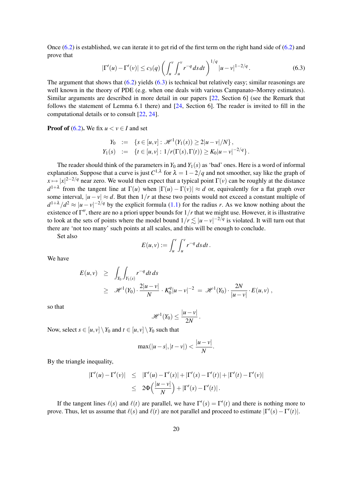<span id="page-20-1"></span>Once [\(6.2\)](#page-19-1) is established, we can iterate it to get rid of the first term on the right hand side of [\(6.2\)](#page-19-1) and prove that

<span id="page-20-0"></span>
$$
|\Gamma'(u) - \Gamma'(v)| \le c_3(q) \left( \int_u^v \int_u^v r^{-q} ds dt \right)^{1/q} |u - v|^{1 - 2/q}.
$$
 (6.3)

The argument that shows that  $(6.2)$  yields  $(6.3)$  is technical but relatively easy; similar reasonings are well known in the theory of PDE (e.g. when one deals with various Campanato–Morrey estimates). Similar arguments are described in more detail in our papers [\[22,](#page-23-12) Section 6] (see the Remark that follows the statement of Lemma 6.1 there) and [\[24,](#page-23-13) Section 6]. The reader is invited to fill in the computational details or to consult [\[22,](#page-23-12) [24\]](#page-23-13).

**Proof of [\(6.2\)](#page-19-1).** We fix  $u < v \in I$  and set

$$
Y_0 := \{ s \in [u, v] : \mathcal{H}^1(Y_1(s)) \ge 2|u - v|/N \},
$$
  
\n
$$
Y_1(s) := \{ t \in [u, v] : 1/r(\Gamma(s), \Gamma(t)) \ge K_0|u - v|^{-2/q} \}.
$$

The reader should think of the parameters in  $Y_0$  and  $Y_1(s)$  as 'bad' ones. Here is a word of informal explanation. Suppose that a curve is just  $C^{1,\lambda}$  for  $\lambda = 1-2/q$  and not smoother, say like the graph of  $x \mapsto |x|^{2-2/q}$  near zero. We would then expect that a typical point  $\Gamma(v)$  can be roughly at the distance  $d^{1+\lambda}$  from the tangent line at  $\Gamma(u)$  when  $|\Gamma(u) - \Gamma(v)| \approx d$  or, equivalently for a flat graph over some interval,  $|u - v| \approx d$ . But then  $1/r$  at these two points would not exceed a constant multiple of  $d^{1+\lambda}/d^2 \approx |u-v|^{-2/q}$  by the explicit formula [\(1.1\)](#page-1-0) for the radius *r*. As we know nothing about the existence of  $\Gamma''$ , there are no a priori upper bounds for  $1/r$  that we might use. However, it is illustrative to look at the sets of points where the model bound  $1/r \lesssim |u - v|^{-2/q}$  is violated. It will turn out that there are 'not too many' such points at all scales, and this will be enough to conclude.

Set also

$$
E(u,v) := \int_u^v \int_u^v r^{-q} ds dt.
$$

We have

$$
E(u, v) \geq \int_{Y_0} \int_{Y_1(s)} r^{-q} dt ds
$$
  
 
$$
\geq \mathscr{H}^1(Y_0) \cdot \frac{2|u - v|}{N} \cdot K_0^q |u - v|^{-2} = \mathscr{H}^1(Y_0) \cdot \frac{2N}{|u - v|} \cdot E(u, v) ,
$$

so that

$$
\mathscr{H}^1(Y_0)\leq \frac{|u-v|}{2N}.
$$

Now, select  $s \in [u, v] \setminus Y_0$  and  $t \in [u, v] \setminus Y_0$  such that

$$
\max(|u-s|, |t-v|) < \frac{|u-v|}{N}.
$$

By the triangle inequality,

$$
\begin{array}{rcl} |\Gamma'(u) - \Gamma'(v)| & \leq & |\Gamma'(u) - \Gamma'(s)| + |\Gamma'(s) - \Gamma'(t)| + |\Gamma'(t) - \Gamma'(v)| \\ & \leq & 2\Phi\left(\frac{|u - v|}{N}\right) + |\Gamma'(s) - \Gamma'(t)| \, .\end{array}
$$

If the tangent lines  $\ell(s)$  and  $\ell(t)$  are parallel, we have  $\Gamma'(s) = \Gamma'(t)$  and there is nothing more to prove. Thus, let us assume that  $\ell(s)$  and  $\ell(t)$  are not parallel and proceed to estimate  $|\Gamma'(s) - \Gamma'(t)|$ .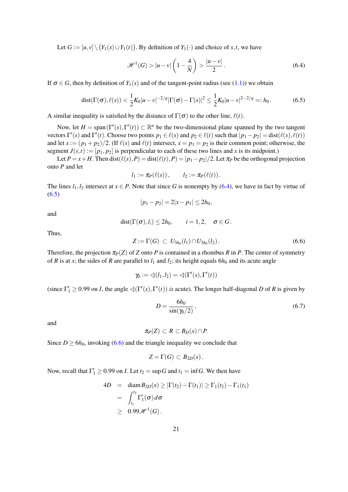Let  $G := [u, v] \setminus (Y_1(s) \cup Y_1(t))$ . By definition of  $Y_1(\cdot)$  and choice of *s*,*t*, we have

<span id="page-21-0"></span>
$$
\mathcal{H}^{1}(G) > |u - v| \left( 1 - \frac{4}{N} \right) > \frac{|u - v|}{2}.
$$
 (6.4)

If  $\sigma \in G$ , then by definition of  $Y_1(s)$  and of the tangent-point radius (see [\(1.1\)](#page-1-0)) we obtain

<span id="page-21-1"></span>dist
$$
(\Gamma(\sigma), \ell(s)) < \frac{1}{2} K_0 |u - v|^{-2/q} |\Gamma(\sigma) - \Gamma(s)|^2 \le \frac{1}{2} K_0 |u - v|^{2-2/q} =: h_0.
$$
 (6.5)

A similar inequality is satisfied by the distance of  $\Gamma(\sigma)$  to the other line,  $\ell(t)$ .

Now, let  $H = \text{span}(\Gamma'(s), \Gamma'(t)) \subset \mathbb{R}^n$  be the two-dimensional plane spanned by the two tangent vectors  $\Gamma'(s)$  and  $\Gamma'(t)$ . Choose two points  $p_1 \in \ell(s)$  and  $p_2 \in \ell(t)$  such that  $|p_1 - p_2| = \text{dist}(\ell(s), \ell(t))$ and let  $x := (p_1 + p_2)/2$ . (If  $\ell(s)$  and  $\ell(t)$  intersect,  $x = p_1 = p_2$  is their common point; otherwise, the segment  $J(s,t) := [p_1, p_2]$  is perpendicular to each of these two lines and *x* is its midpoint.)

Let  $P = x + H$ . Then dist( $\ell(s), P$ ) = dist( $\ell(t), P$ ) =  $|p_1 - p_2|/2$ . Let  $\pi_P$  be the orthogonal projection onto *P* and let

$$
l_1:=\pi_P(\ell(s)), \qquad l_2:=\pi_P(\ell(t)).
$$

The lines  $l_1, l_2$  intersect at  $x \in P$ . Note that since *G* is nonempty by [\(6.4\)](#page-21-0), we have in fact by virtue of  $(6.5)$ 

$$
|p_1 - p_2| = 2|x - p_1| \le 2h_0,
$$

and

$$
dist(\Gamma(\sigma), l_i) \leq 2h_0, \qquad i = 1, 2, \quad \sigma \in G.
$$

Thus,

<span id="page-21-2"></span>
$$
Z := \Gamma(G) \, \subset \, U_{3h_0}(l_1) \cap U_{3h_0}(l_2). \tag{6.6}
$$

Therefore, the projection  $\pi_P(Z)$  of *Z* onto *P* is contained in a rhombus *R* in *P*. The center of symmetry of *R* is at *x*; the sides of *R* are parallel to  $l_1$  and  $l_2$ ; its height equals  $6h_0$  and its acute angle

$$
\gamma_0 := \text{cl}(l_1, l_2) = \text{cl}(\Gamma'(s), \Gamma'(t))
$$

(since  $\Gamma'_1 \ge 0.99$  on *I*, the angle  $\triangleleft(\Gamma'(s), \Gamma'(t))$  *is* acute). The longer half-diagonal *D* of *R* is given by

<span id="page-21-3"></span>
$$
D = \frac{6h_0}{\sin(\gamma_0/2)},\tag{6.7}
$$

and

$$
\pi_P(Z)\subset R\subset B_D(x)\cap P.
$$

Since  $D \ge 6h_0$ , invoking [\(6.6\)](#page-21-2) and the triangle inequality we conclude that

$$
Z=\Gamma(G)\subset B_{2D}(x)\,.
$$

Now, recall that  $\Gamma'_1 \ge 0.99$  on *I*. Let  $t_2 = \sup G$  and  $t_1 = \inf G$ . We then have

$$
4D = \operatorname{diam} B_{2D}(x) \ge |\Gamma(t_2) - \Gamma(t_1)| \ge \Gamma_1(t_2) - \Gamma_1(t_1)
$$
  
= 
$$
\int_{t_1}^{t_2} \Gamma'_1(\sigma) d\sigma
$$
  

$$
\ge 0.99 \mathscr{H}^1(G).
$$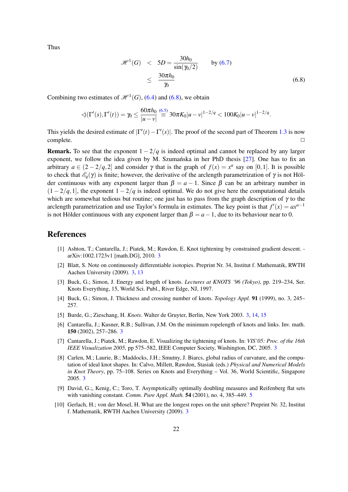<span id="page-22-9"></span>Thus

<span id="page-22-8"></span>
$$
\mathcal{H}^{1}(G) < 5D = \frac{30h_0}{\sin(\gamma_0/2)} \qquad \text{by (6.7)}
$$
\n
$$
\leq \frac{30\pi h_0}{\gamma_0} \tag{6.8}
$$

Combining two estimates of  $\mathcal{H}^1(G)$ , [\(6.4\)](#page-21-0) and [\(6.8\)](#page-22-8), we obtain

$$
\triangleleft(\Gamma'(s),\Gamma'(t))=\gamma_0\leq \frac{60\pi h_0}{|u-v|}\stackrel{(6.5)}{=}30\pi K_0|u-v|^{1-2/q}<100K_0|u-v|^{1-2/q}.
$$

This yields the desired estimate of  $|\Gamma'(t) - \Gamma'(s)|$ . The proof of the second part of Theorem [1.3](#page-3-3) is now  $\Box$ complete.  $\Box$ 

**Remark.** To see that the exponent  $1 - 2/q$  is indeed optimal and cannot be replaced by any larger exponent, we follow the idea given by M. Szumańska in her PhD thesis  $[27]$  $[27]$ . One has to fix an arbitrary  $a \in (2-2/q,2]$  and consider  $\gamma$  that is the graph of  $f(x) = x^a$  say on [0,1]. It is possible to check that  $\mathscr{E}_q(\gamma)$  is finite; however, the derivative of the arclength parametrization of  $\gamma$  is not Hölder continuous with any exponent larger than  $\beta = a - 1$ . Since  $\beta$  can be an arbitrary number in  $(1 - 2/q, 1]$ , the exponent  $1 - 2/q$  is indeed optimal. We do not give here the computational details which are somewhat tedious but routine; one just has to pass from the graph description of  $\gamma$  to the arclength parametrization and use Taylor's formula in estimates. The key point is that  $f'(x) = ax^{a-1}$ is not Hölder continuous with any exponent larger than  $\beta = a - 1$ , due to its behaviour near to 0.

### References

- <span id="page-22-5"></span>[1] Ashton, T.; Cantarella, J.; Piatek, M.; Rawdon, E. Knot tightening by constrained gradient descent. arXiv:1002.1723v1 [math.DG], 2010. [3](#page-3-4)
- <span id="page-22-0"></span>[2] Blatt, S. Note on continuously differentiable isotopies. Preprint Nr. 34, Institut f. Mathematik, RWTH Aachen University (2009). [3,](#page-3-4) [13](#page-13-2)
- [3] Buck, G.; Simon, J. Energy and length of knots. *Lectures at KNOTS '96 (Tokyo)*, pp. 219–234, Ser. Knots Everything, 15, World Sci. Publ., River Edge, NJ, 1997.
- [4] Buck, G.; Simon, J. Thickness and crossing number of knots. *Topology Appl.* 91 (1999), no. 3, 245– 257.
- <span id="page-22-6"></span>[5] Burde, G.; Zieschang, H. *Knots*. Walter de Gruyter, Berlin, New York 2003. [3,](#page-3-4) [14,](#page-14-5) [15](#page-15-3)
- <span id="page-22-1"></span>[6] Cantarella, J.; Kusner, R.B.; Sullivan, J.M. On the minimum ropelength of knots and links. Inv. math. 150 (2002), 257–286. [3](#page-3-4)
- <span id="page-22-3"></span>[7] Cantarella, J.; Piatek, M.; Rawdon, E. Visualizing the tightening of knots. In: *VIS'05: Proc. of the 16th IEEE Visualization 2005,* pp 575–582, IEEE Computer Society, Washington, DC, 2005. [3](#page-3-4)
- <span id="page-22-4"></span>[8] Carlen, M.; Laurie, B.; Maddocks, J.H.; Smutny, J. Biarcs, global radius of curvature, and the computation of ideal knot shapes. In: Calvo, Millett, Rawdon, Stasiak (eds.) *Physical and Numerical Models in Knot Theory*, pp. 75–108. Series on Knots and Everything – Vol. 36, World Scientific, Singapore 2005. [3](#page-3-4)
- <span id="page-22-7"></span>[9] David, G.;, Kenig, C.; Toro, T. Asymptotically optimally doubling measures and Reifenberg flat sets with vanishing constant. *Comm. Pure Appl. Math.* 54 (2001), no. 4, 385–449. [5](#page-5-2)
- <span id="page-22-2"></span>[10] Gerlach, H.; von der Mosel, H. What are the longest ropes on the unit sphere? Preprint Nr. 32, Institut f. Mathematik, RWTH Aachen University (2009). [3](#page-3-4)